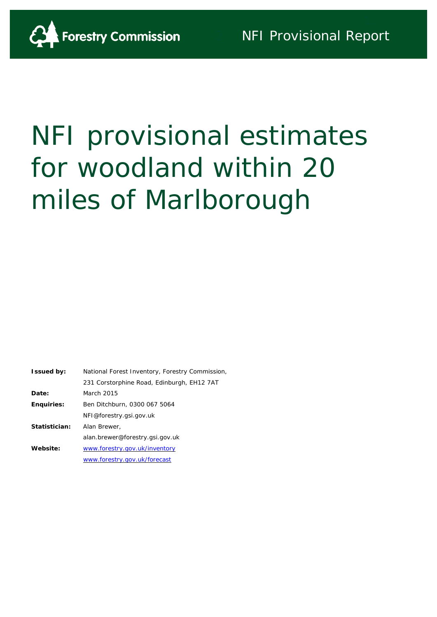

# NFI provisional estimates for woodland within 20 miles of Marlborough

| <b>Issued by:</b> | National Forest Inventory, Forestry Commission, |
|-------------------|-------------------------------------------------|
|                   | 231 Corstorphine Road, Edinburgh, EH12 7AT      |
| Date:             | March 2015                                      |
| <b>Enquiries:</b> | Ben Ditchburn, 0300 067 5064                    |
|                   | NFI@forestry.gsi.gov.uk                         |
| Statistician:     | Alan Brewer,                                    |
|                   | alan.brewer@forestry.gsi.gov.uk                 |
| Website:          | www.forestry.gov.uk/inventory                   |
|                   | www.forestry.gov.uk/forecast                    |
|                   |                                                 |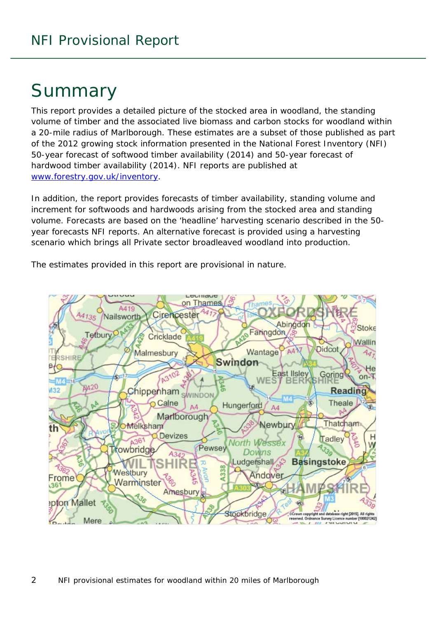# Summary

This report provides a detailed picture of the stocked area in woodland, the standing volume of timber and the associated live biomass and carbon stocks for woodland within a 20-mile radius of Marlborough. These estimates are a subset of those published as part of the 2012 growing stock information presented in the National Forest Inventory (NFI) *50-year forecast of softwood timber availability* (2014) and *50-year forecast of hardwood timber availability* (2014). NFI reports are published at [www.forestry.gov.uk/inventory.](http://www.forestry.gov.uk/inventory)

In addition, the report provides forecasts of timber availability, standing volume and increment for softwoods and hardwoods arising from the stocked area and standing volume. Forecasts are based on the 'headline' harvesting scenario described in the 50 year forecasts NFI reports. An alternative forecast is provided using a harvesting scenario which brings all Private sector broadleaved woodland into production.

The estimates provided in this report are provisional in nature.

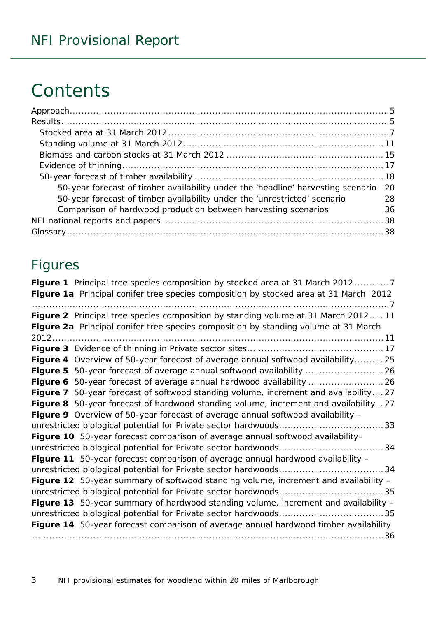# **Contents**

| 50-year forecast of timber availability under the 'headline' harvesting scenario | -20 |
|----------------------------------------------------------------------------------|-----|
| 50-year forecast of timber availability under the 'unrestricted' scenario        | 28  |
| Comparison of hardwood production between harvesting scenarios                   | 36  |
|                                                                                  |     |
|                                                                                  |     |

### Figures

| Figure 1 Principal tree species composition by stocked area at 31 March 20127         |
|---------------------------------------------------------------------------------------|
| Figure 1a Principal conifer tree species composition by stocked area at 31 March 2012 |
| Figure 2 Principal tree species composition by standing volume at 31 March 201211     |
| Figure 2a Principal conifer tree species composition by standing volume at 31 March   |
|                                                                                       |
|                                                                                       |
| Figure 4 Overview of 50-year forecast of average annual softwood availability 25      |
|                                                                                       |
|                                                                                       |
| Figure 7 50-year forecast of softwood standing volume, increment and availability27   |
| Figure 8 50-year forecast of hardwood standing volume, increment and availability 27  |
| Figure 9 Overview of 50-year forecast of average annual softwood availability -       |
|                                                                                       |
| Figure 10 50-year forecast comparison of average annual softwood availability-        |
|                                                                                       |
| Figure 11 50-year forecast comparison of average annual hardwood availability -       |
|                                                                                       |
| Figure 12 50-year summary of softwood standing volume, increment and availability -   |
|                                                                                       |
| Figure 13 50-year summary of hardwood standing volume, increment and availability -   |
|                                                                                       |
| Figure 14 50-year forecast comparison of average annual hardwood timber availability  |
|                                                                                       |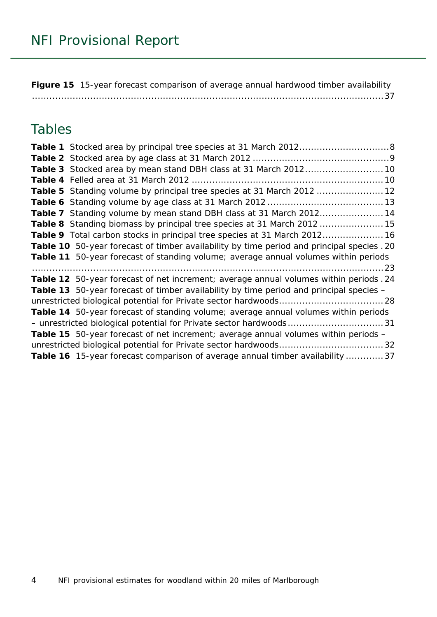**Figure 15** [15-year forecast comparison of average annual hardwood timber availability](#page-36-0) [.........................................................................................................................37](#page-36-0)

### Tables

| Table 3 Stocked area by mean stand DBH class at 31 March 2012 10                           |
|--------------------------------------------------------------------------------------------|
|                                                                                            |
| Table 5 Standing volume by principal tree species at 31 March 2012  12                     |
|                                                                                            |
| Table 7 Standing volume by mean stand DBH class at 31 March 201214                         |
| Table 8 Standing biomass by principal tree species at 31 March 2012  15                    |
| Table 9 Total carbon stocks in principal tree species at 31 March 2012 16                  |
| Table 10 50-year forecast of timber availability by time period and principal species . 20 |
| Table 11 50-year forecast of standing volume; average annual volumes within periods        |
|                                                                                            |
| Table 12 50-year forecast of net increment; average annual volumes within periods . 24     |
| Table 13 50-year forecast of timber availability by time period and principal species -    |
|                                                                                            |
| Table 14 50-year forecast of standing volume; average annual volumes within periods        |
|                                                                                            |
| <b>Table 15</b> 50-year forecast of net increment; average annual volumes within periods - |
|                                                                                            |
| Table 16 15-year forecast comparison of average annual timber availability  37             |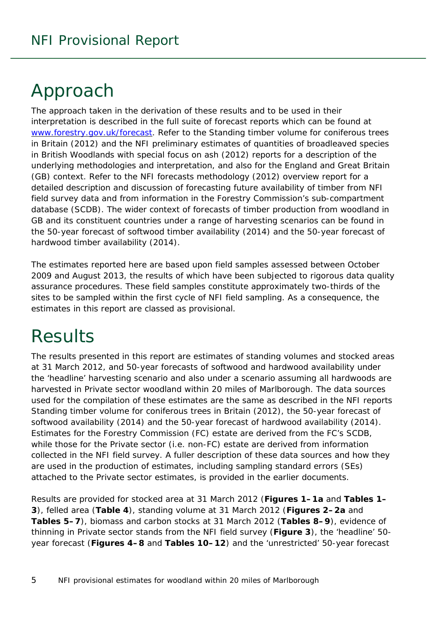# <span id="page-4-0"></span>Approach

The approach taken in the derivation of these results and to be used in their interpretation is described in the full suite of forecast reports which can be found at [www.forestry.gov.uk/forecast.](http://www.forestry.gov.uk/forecast) Refer to the *Standing timber volume for coniferous trees in Britain* (2012) and the *NFI preliminary estimates of quantities of broadleaved species in British Woodlands with special focus on ash* (2012) reports for a description of the underlying methodologies and interpretation, and also for the England and Great Britain (GB) context. Refer to the *NFI forecasts methodology* (2012) overview report for a detailed description and discussion of forecasting future availability of timber from NFI field survey data and from information in the Forestry Commission's sub-compartment database (SCDB). The wider context of forecasts of timber production from woodland in GB and its constituent countries under a range of harvesting scenarios can be found in the *50-year forecast of softwood timber availability* (2014) and the *50-year forecast of hardwood timber availability* (2014).

The estimates reported here are based upon field samples assessed between October 2009 and August 2013, the results of which have been subjected to rigorous data quality assurance procedures. These field samples constitute approximately two-thirds of the sites to be sampled within the first cycle of NFI field sampling. As a consequence, the estimates in this report are classed as provisional.

# <span id="page-4-1"></span>**Results**

The results presented in this report are estimates of standing volumes and stocked areas at 31 March 2012, and 50-year forecasts of softwood and hardwood availability under the 'headline' harvesting scenario and also under a scenario assuming all hardwoods are harvested in Private sector woodland within 20 miles of Marlborough. The data sources used for the compilation of these estimates are the same as described in the NFI reports *Standing timber volume for coniferous trees in Britain* (2012), the *50-year forecast of softwood availability* (2014) and the *50-year forecast of hardwood availability* (2014). Estimates for the Forestry Commission (FC) estate are derived from the FC's SCDB, while those for the Private sector (i.e. non-FC) estate are derived from information collected in the NFI field survey. A fuller description of these data sources and how they are used in the production of estimates, including sampling standard errors (SEs) attached to the Private sector estimates, is provided in the earlier documents.

Results are provided for stocked area at 31 March 2012 (**Figures 1–1a** and **Tables 1– 3**), felled area (**Table 4**), standing volume at 31 March 2012 (**Figures 2–2a** and **Tables 5–7**), biomass and carbon stocks at 31 March 2012 (**Tables 8–9**), evidence of thinning in Private sector stands from the NFI field survey (**Figure 3**), the 'headline' 50 year forecast (**Figures 4–8** and **Tables 10–12**) and the 'unrestricted' 50-year forecast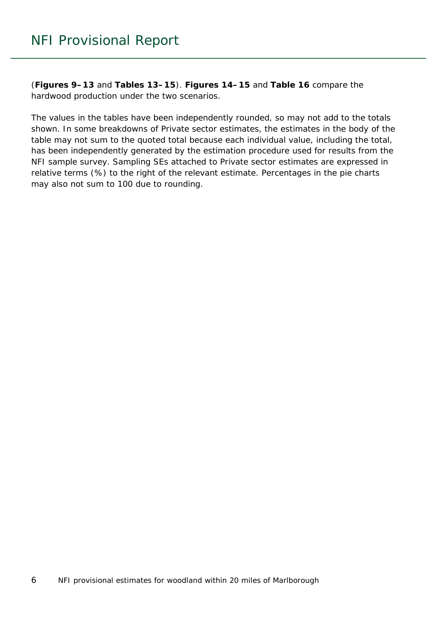(**Figures 9–13** and **Tables 13–15**). **Figures 14–15** and **Table 16** compare the hardwood production under the two scenarios.

The values in the tables have been independently rounded, so may not add to the totals shown. In some breakdowns of Private sector estimates, the estimates in the body of the table may not sum to the quoted total because each individual value, including the total, has been independently generated by the estimation procedure used for results from the NFI sample survey. Sampling SEs attached to Private sector estimates are expressed in relative terms (%) to the right of the relevant estimate. Percentages in the pie charts may also not sum to 100 due to rounding.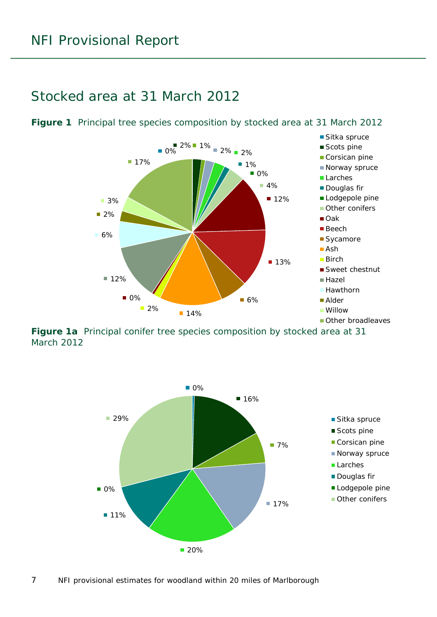### <span id="page-6-0"></span>Stocked area at 31 March 2012



<span id="page-6-1"></span>**Figure 1** Principal tree species composition by stocked area at 31 March 2012

<span id="page-6-2"></span>**Figure 1a** Principal conifer tree species composition by stocked area at 31 March 2012

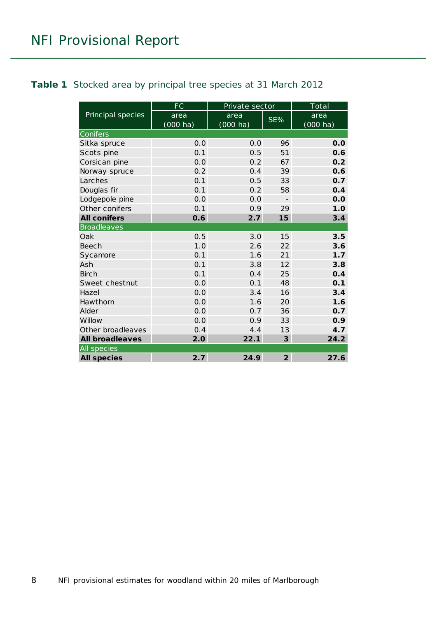#### <span id="page-7-0"></span>**Table 1** Stocked area by principal tree species at 31 March 2012

|                        | FC                 | Private sector     |                | Total              |  |
|------------------------|--------------------|--------------------|----------------|--------------------|--|
| Principal species      | area               | area               | SE%            | area               |  |
|                        | $(000 \text{ ha})$ | $(000 \text{ ha})$ |                | $(000 \text{ ha})$ |  |
| Conifers               |                    |                    |                |                    |  |
| Sitka spruce           | 0.0                | 0.0                | 96             | 0.0                |  |
| Scots pine             | 0.1                | 0.5                | 51             | 0.6                |  |
| Corsican pine          | 0.0                | 0.2                | 67             | 0.2                |  |
| Norway spruce          | 0.2                | 0.4                | 39             | 0.6                |  |
| Larches                | 0.1                | 0.5                | 33             | 0.7                |  |
| Douglas fir            | 0.1                | 0.2                | 58             | 0.4                |  |
| Lodgepole pine         | 0.0                | 0.0                | $\overline{a}$ | 0.0                |  |
| Other conifers         | 0.1                | 0.9                | 29             | 1.0                |  |
| <b>All conifers</b>    | 0.6                | 2.7                | 15             | 3.4                |  |
| <b>Broadleaves</b>     |                    |                    |                |                    |  |
| Oak                    | 0.5                | 3.0                | 15             | 3.5                |  |
| Beech                  | 1.0                | 2.6                | 22             | 3.6                |  |
| Sycamore               | 0.1                | 1.6                | 21             | 1.7                |  |
| Ash                    | 0.1                | 3.8                | 12             | 3.8                |  |
| <b>Birch</b>           | 0.1                | 0.4                | 25             | 0.4                |  |
| Sweet chestnut         | 0.0                | 0.1                | 48             | 0.1                |  |
| Hazel                  | 0.0                | 3.4                | 16             | 3.4                |  |
| Hawthorn               | 0.0                | 1.6                | 20             | 1.6                |  |
| Alder                  | 0.0                | 0.7                | 36             | 0.7                |  |
| Willow                 | 0.0                | 0.9                | 33             | 0.9                |  |
| Other broadleaves      | 0.4                | 4.4                | 13             | 4.7                |  |
| <b>All broadleaves</b> | 2.0                | 22.1               | 3              | 24.2               |  |
| All species            |                    |                    |                |                    |  |
| <b>All species</b>     | 2.7                | 24.9               | $\overline{2}$ | 27.6               |  |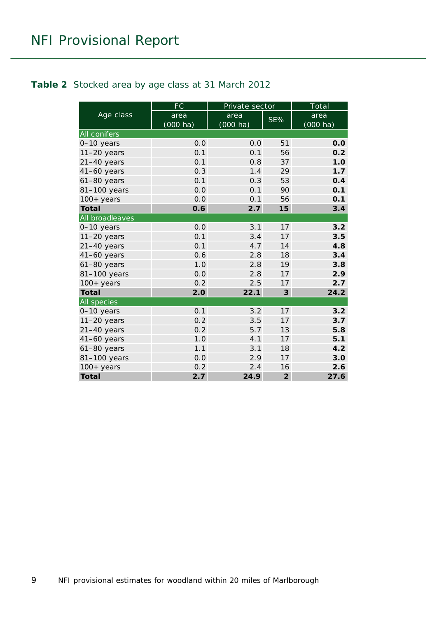#### <span id="page-8-0"></span>**Table 2** Stocked area by age class at 31 March 2012

|                     | FC                         | Private sector             |                | Total                      |
|---------------------|----------------------------|----------------------------|----------------|----------------------------|
| Age class           | area<br>$(000 \text{ ha})$ | area<br>$(000 \text{ ha})$ | SE%            | area<br>$(000 \text{ ha})$ |
| <b>All conifers</b> |                            |                            |                |                            |
| 0-10 years          | 0.0                        | 0.0                        | 51             | 0.0                        |
| $11-20$ years       | 0.1                        | 0.1                        | 56             | 0.2                        |
| $21-40$ years       | 0.1                        | 0.8                        | 37             | 1.0                        |
| $41-60$ years       | 0.3                        | 1.4                        | 29             | 1.7                        |
| $61-80$ years       | 0.1                        | 0.3                        | 53             | 0.4                        |
| 81-100 years        | 0.0                        | 0.1                        | 90             | 0.1                        |
| $100+$ years        | 0.0                        | 0.1                        | 56             | 0.1                        |
| <b>Total</b>        | 0.6                        | 2.7                        | 15             | 3.4                        |
| All broadleaves     |                            |                            |                |                            |
| 0-10 years          | 0.0                        | 3.1                        | 17             | 3.2                        |
| $11-20$ years       | 0.1                        | 3.4                        | 17             | 3.5                        |
| $21-40$ years       | 0.1                        | 4.7                        | 14             | 4.8                        |
| $41-60$ years       | 0.6                        | 2.8                        | 18             | 3.4                        |
| $61-80$ years       | 1.0                        | 2.8                        | 19             | 3.8                        |
| 81-100 years        | 0.0                        | 2.8                        | 17             | 2.9                        |
| $100+years$         | 0.2                        | 2.5                        | 17             | 2.7                        |
| <b>Total</b>        | 2.0                        | 22.1                       | 3              | 24.2                       |
| All species         |                            |                            |                |                            |
| 0-10 years          | 0.1                        | 3.2                        | 17             | 3.2                        |
| $11-20$ years       | 0.2                        | 3.5                        | 17             | 3.7                        |
| $21-40$ years       | 0.2                        | 5.7                        | 13             | 5.8                        |
| $41-60$ years       | 1.0                        | 4.1                        | 17             | 5.1                        |
| 61-80 years         | 1.1                        | 3.1                        | 18             | 4.2                        |
| 81-100 years        | 0.0                        | 2.9                        | 17             | 3.0                        |
| $100+$ years        | 0.2                        | 2.4                        | 16             | 2.6                        |
| <b>Total</b>        | 2.7                        | 24.9                       | $\overline{2}$ | 27.6                       |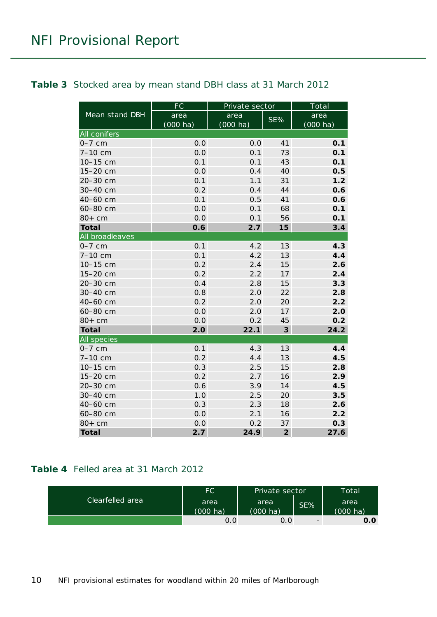#### <span id="page-9-0"></span>**Table 3** Stocked area by mean stand DBH class at 31 March 2012

|                     | <b>FC</b>  | Private sector     |                         | Total              |
|---------------------|------------|--------------------|-------------------------|--------------------|
| Mean stand DBH      | area       | area               | SE%                     | area               |
|                     | $(000$ ha) | $(000 \text{ ha})$ |                         | $(000 \text{ ha})$ |
| <b>All conifers</b> |            |                    |                         |                    |
| $0-7$ cm            | 0.0        | 0.0                | 41                      | 0.1                |
| 7-10 cm             | 0.0        | 0.1                | 73                      | 0.1                |
| 10-15 cm            | 0.1        | 0.1                | 43                      | 0.1                |
| 15-20 cm            | 0.0        | 0.4                | 40                      | 0.5                |
| 20-30 cm            | 0.1        | 1.1                | 31                      | 1.2                |
| 30-40 cm            | 0.2        | 0.4                | 44                      | 0.6                |
| 40-60 cm            | 0.1        | 0.5                | 41                      | 0.6                |
| 60-80 cm            | 0.0        | 0.1                | 68                      | 0.1                |
| $80+cm$             | 0.0        | 0.1                | 56                      | 0.1                |
| <b>Total</b>        | 0.6        | 2.7                | 15                      | 3.4                |
| All broadleaves     |            |                    |                         |                    |
| $0-7$ cm            | 0.1        | 4.2                | 13                      | 4.3                |
| $7 - 10$ cm         | 0.1        | 4.2                | 13                      | 4.4                |
| 10-15 cm            | 0.2        | 2.4                | 15                      | 2.6                |
| 15-20 cm            | 0.2        | 2.2                | 17                      | 2.4                |
| 20-30 cm            | 0.4        | 2.8                | 15                      | 3.3                |
| 30-40 cm            | 0.8        | 2.0                | 22                      | 2.8                |
| 40-60 cm            | 0.2        | 2.0                | 20                      | 2.2                |
| 60-80 cm            | 0.0        | 2.0                | 17                      | 2.0                |
| $80+cm$             | 0.0        | 0.2                | 45                      | 0.2                |
| <b>Total</b>        | 2.0        | 22.1               | $\overline{\mathbf{3}}$ | 24.2               |
| All species         |            |                    |                         |                    |
| $0-7$ cm            | 0.1        | 4.3                | 13                      | 4.4                |
| 7-10 cm             | 0.2        | 4.4                | 13                      | 4.5                |
| 10-15 cm            | 0.3        | 2.5                | 15                      | 2.8                |
| 15-20 cm            | 0.2        | 2.7                | 16                      | 2.9                |
| 20-30 cm            | 0.6        | 3.9                | 14                      | 4.5                |
| 30-40 cm            | 1.0        | 2.5                | 20                      | 3.5                |
| 40-60 cm            | 0.3        | 2.3                | 18                      | 2.6                |
| 60-80 cm            | 0.0        | 2.1                | 16                      | 2.2                |
| $80+cm$             | 0.0        | 0.2                | 37                      | 0.3                |
| <b>Total</b>        | 2.7        | 24.9               | $\overline{2}$          | 27.6               |

#### <span id="page-9-1"></span>**Table 4** Felled area at 31 March 2012

| Clearfelled area | FC                 | Private sector     |                          | Total    |
|------------------|--------------------|--------------------|--------------------------|----------|
|                  | area               | area               | SE%                      | area     |
|                  | $(000 \text{ ha})$ | $(000 \text{ ha})$ |                          | (000 ha) |
|                  | 0.0                | 0.0                | $\overline{\phantom{0}}$ | 0.0      |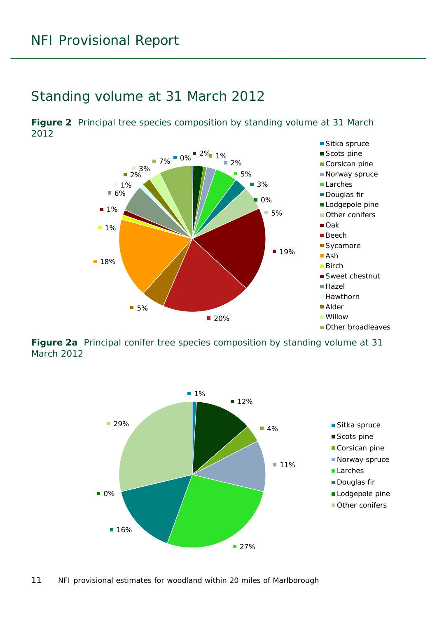### <span id="page-10-0"></span>Standing volume at 31 March 2012

<span id="page-10-1"></span>**Figure 2** Principal tree species composition by standing volume at 31 March 2012



<span id="page-10-2"></span>**Figure 2a** Principal conifer tree species composition by standing volume at 31 March 2012

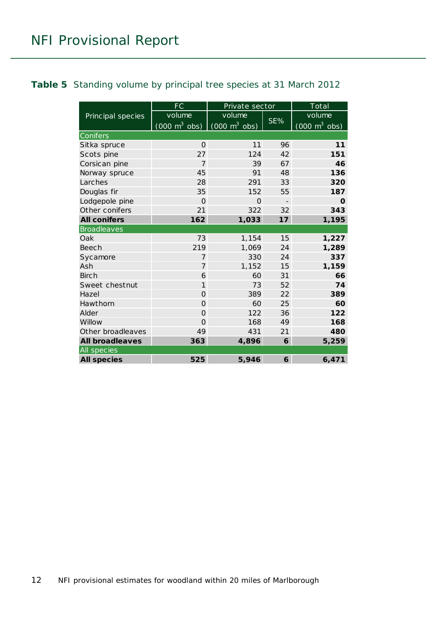#### <span id="page-11-0"></span>**Table 5** Standing volume by principal tree species at 31 March 2012

|                        | FC                                                              | Private sector |     | Total       |  |
|------------------------|-----------------------------------------------------------------|----------------|-----|-------------|--|
| Principal species      | volume                                                          | volume         |     | volume      |  |
|                        | $(000 \text{ m}^3 \text{ obs})$ $(000 \text{ m}^3 \text{ obs})$ |                | SE% |             |  |
| <b>Conifers</b>        |                                                                 |                |     |             |  |
| Sitka spruce           | $\Omega$                                                        | 11             | 96  | 11          |  |
| Scots pine             | 27                                                              | 124            | 42  | 151         |  |
| Corsican pine          | 7                                                               | 39             | 67  | 46          |  |
| Norway spruce          | 45                                                              | 91             | 48  | 136         |  |
| Larches                | 28                                                              | 291            | 33  | 320         |  |
| Douglas fir            | 35                                                              | 152            | 55  | 187         |  |
| Lodgepole pine         | $\overline{O}$                                                  | $\mathbf 0$    |     | $\mathbf 0$ |  |
| Other conifers         | 21                                                              | 322            | 32  | 343         |  |
| <b>All conifers</b>    | 162                                                             | 1,033          | 17  | 1,195       |  |
| <b>Broadleaves</b>     |                                                                 |                |     |             |  |
| Oak                    | 73                                                              | 1,154          | 15  | 1,227       |  |
| Beech                  | 219                                                             | 1,069          | 24  | 1,289       |  |
| Sycamore               | $\overline{7}$                                                  | 330            | 24  | 337         |  |
| Ash                    | 7                                                               | 1,152          | 15  | 1,159       |  |
| Birch                  | 6                                                               | 60             | 31  | 66          |  |
| Sweet chestnut         | $\mathbf{1}$                                                    | 73             | 52  | 74          |  |
| Hazel                  | $\overline{O}$                                                  | 389            | 22  | 389         |  |
| Hawthorn               | $\Omega$                                                        | 60             | 25  | 60          |  |
| Alder                  | $\Omega$                                                        | 122            | 36  | 122         |  |
| Willow                 | $\overline{O}$                                                  | 168            | 49  | 168         |  |
| Other broadleaves      | 49                                                              | 431            | 21  | 480         |  |
| <b>All broadleaves</b> | 363                                                             | 4,896          | 6   | 5,259       |  |
| All species            |                                                                 |                |     |             |  |
| <b>All species</b>     | 525                                                             | 5,946          | 6   | 6,471       |  |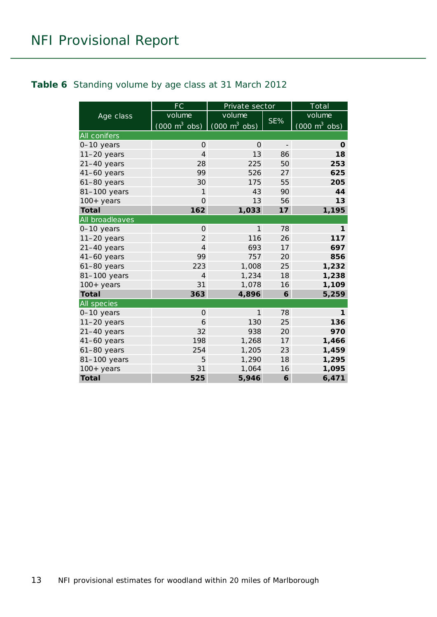#### <span id="page-12-0"></span>**Table 6** Standing volume by age class at 31 March 2012

|                     | <b>FC</b>                       | Private sector                  |                          | Total                               |  |
|---------------------|---------------------------------|---------------------------------|--------------------------|-------------------------------------|--|
| Age class           | volume                          | volume                          |                          | volume                              |  |
|                     | $(000 \text{ m}^3 \text{ obs})$ | $(000 \text{ m}^3 \text{ obs})$ | SE%                      | $(000 \; \text{m}^3 \; \text{obs})$ |  |
| <b>All conifers</b> |                                 |                                 |                          |                                     |  |
| 0-10 years          | $\Omega$                        | $\Omega$                        | $\overline{\phantom{a}}$ | $\mathbf 0$                         |  |
| $11-20$ years       | $\overline{4}$                  | 13                              | 86                       | 18                                  |  |
| $21-40$ years       | 28                              | 225                             | 50                       | 253                                 |  |
| $41-60$ years       | 99                              | 526                             | 27                       | 625                                 |  |
| $61-80$ years       | 30                              | 175                             | 55                       | 205                                 |  |
| 81-100 years        | 1                               | 43                              | 90                       | 44                                  |  |
| $100+$ years        | $\Omega$                        | 13                              | 56                       | 13                                  |  |
| <b>Total</b>        | 162                             | 1,033                           | 17                       | 1,195                               |  |
| All broadleaves     |                                 |                                 |                          |                                     |  |
| 0-10 years          | $\Omega$                        | 1                               | 78                       | 1                                   |  |
| $11-20$ years       | $\overline{2}$                  | 116                             | 26                       | 117                                 |  |
| $21-40$ years       | $\overline{4}$                  | 693                             | 17                       | 697                                 |  |
| 41-60 years         | 99                              | 757                             | 20                       | 856                                 |  |
| $61-80$ years       | 223                             | 1,008                           | 25                       | 1,232                               |  |
| 81-100 years        | $\overline{4}$                  | 1,234                           | 18                       | 1,238                               |  |
| $100+$ years        | 31                              | 1,078                           | 16                       | 1,109                               |  |
| <b>Total</b>        | 363                             | 4,896                           | 6                        | 5,259                               |  |
| <b>All</b> species  |                                 |                                 |                          |                                     |  |
| 0-10 years          | $\mathbf 0$                     | 1                               | 78                       | 1                                   |  |
| $11-20$ years       | 6                               | 130                             | 25                       | 136                                 |  |
| $21-40$ years       | 32                              | 938                             | 20                       | 970                                 |  |
| $41-60$ years       | 198                             | 1,268                           | 17                       | 1,466                               |  |
| $61-80$ years       | 254                             | 1,205                           | 23                       | 1,459                               |  |
| 81-100 years        | 5                               | 1,290                           | 18                       | 1,295                               |  |
| $100+$ years        | 31                              | 1,064                           | 16                       | 1,095                               |  |
| <b>Total</b>        | 525                             | 5,946                           | 6                        | 6,471                               |  |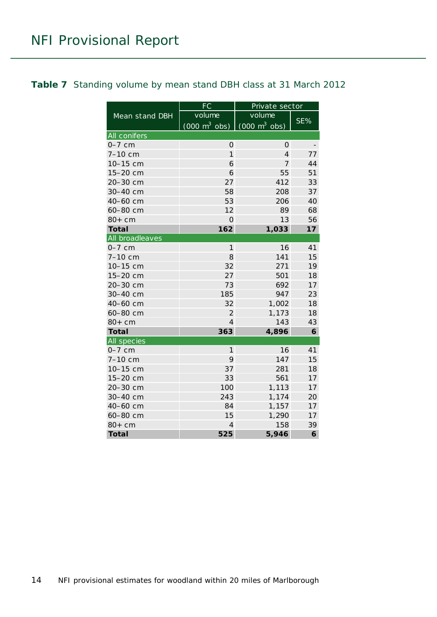<span id="page-13-0"></span>

|                 | FC                              | Private sector                      |     |  |
|-----------------|---------------------------------|-------------------------------------|-----|--|
| Mean stand DBH  | volume                          | volume                              |     |  |
|                 | $(000 \text{ m}^3 \text{ obs})$ | $(000 \; \text{m}^3 \; \text{obs})$ | SE% |  |
| All conifers    |                                 |                                     |     |  |
| $0-7$ cm        | $\mathbf 0$                     | 0                                   |     |  |
| 7-10 cm         | 1                               | $\overline{4}$                      | 77  |  |
| 10-15 cm        | 6                               | $\overline{7}$                      | 44  |  |
| 15-20 cm        | 6                               | 55                                  | 51  |  |
| 20-30 cm        | 27                              | 412                                 | 33  |  |
| 30-40 cm        | 58                              | 208                                 | 37  |  |
| 40-60 cm        | 53                              | 206                                 | 40  |  |
| 60-80 cm        | 12                              | 89                                  | 68  |  |
| $80+cm$         | $\overline{O}$                  | 13                                  | 56  |  |
| <b>Total</b>    | 162                             | 1,033                               | 17  |  |
| All broadleaves |                                 |                                     |     |  |
| $0-7$ cm        | $\mathbf{1}$                    | 16                                  | 41  |  |
| 7-10 cm         | 8                               | 141                                 | 15  |  |
| 10-15 cm        | 32                              | 271                                 | 19  |  |
| 15-20 cm        | 27                              | 501                                 | 18  |  |
| 20-30 cm        | 73                              | 692                                 | 17  |  |
| 30-40 cm        | 185                             | 947                                 | 23  |  |
| 40-60 cm        | 32                              | 1,002                               | 18  |  |
| 60-80 cm        | $\overline{2}$                  | 1,173                               | 18  |  |
| $80+cm$         | 4                               | 143                                 | 43  |  |
| <b>Total</b>    | 363                             | 4,896                               | 6   |  |
| All species     |                                 |                                     |     |  |
| $0-7$ cm        | 1                               | 16                                  | 41  |  |
| 7-10 cm         | 9                               | 147                                 | 15  |  |
| 10-15 cm        | 37                              | 281                                 | 18  |  |
| 15-20 cm        | 33                              | 561                                 | 17  |  |
| 20-30 cm        | 100                             | 1,113                               | 17  |  |
| 30-40 cm        | 243                             | 1,174                               | 20  |  |
| 40-60 cm        | 84                              | 1,157                               | 17  |  |
| 60-80 cm        | 15                              | 1,290                               | 17  |  |
| $80+cm$         | $\overline{4}$                  | 158                                 | 39  |  |
| <b>Total</b>    | 525                             | 5,946                               | 6   |  |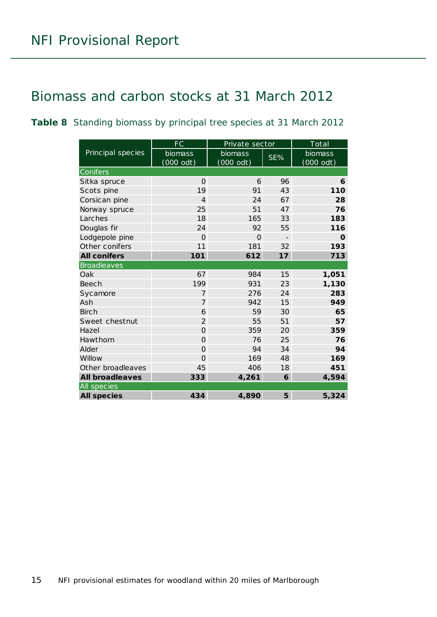### <span id="page-14-0"></span>Biomass and carbon stocks at 31 March 2012

<span id="page-14-1"></span>**Table 8** Standing biomass by principal tree species at 31 March 2012

|                        | FC                   | Private sector         |                          | Total                |  |
|------------------------|----------------------|------------------------|--------------------------|----------------------|--|
| Principal species      | biomass<br>(000 odt) | biomass<br>$(000$ odt) | SE%                      | biomass<br>(000 odt) |  |
| Conifers               |                      |                        |                          |                      |  |
| Sitka spruce           | $\Omega$             | 6                      | 96                       | 6                    |  |
| Scots pine             | 19                   | 91                     | 43                       | 110                  |  |
| Corsican pine          | $\overline{4}$       | 24                     | 67                       | 28                   |  |
| Norway spruce          | 25                   | 51                     | 47                       | 76                   |  |
| Larches                | 18                   | 165                    | 33                       | 183                  |  |
| Douglas fir            | 24                   | 92                     | 55                       | 116                  |  |
| Lodgepole pine         | $\Omega$             | $\Omega$               | $\overline{\phantom{a}}$ | O                    |  |
| Other conifers         | 11                   | 181                    | 32                       | 193                  |  |
| <b>All conifers</b>    | 101                  | 612                    | 17                       | 713                  |  |
| <b>Broadleaves</b>     |                      |                        |                          |                      |  |
| Oak                    | 67                   | 984                    | 15                       | 1,051                |  |
| Beech                  | 199                  | 931                    | 23                       | 1,130                |  |
| Sycamore               | $\overline{7}$       | 276                    | 24                       | 283                  |  |
| Ash                    | $\overline{7}$       | 942                    | 15                       | 949                  |  |
| <b>Birch</b>           | 6                    | 59                     | 30                       | 65                   |  |
| Sweet chestnut         | $\overline{2}$       | 55                     | 51                       | 57                   |  |
| Hazel                  | $\Omega$             | 359                    | 20                       | 359                  |  |
| Hawthorn               | $\overline{O}$       | 76                     | 25                       | 76                   |  |
| Alder                  | $\Omega$             | 94                     | 34                       | 94                   |  |
| Willow                 | $\Omega$             | 169                    | 48                       | 169                  |  |
| Other broadleaves      | 45                   | 406                    | 18                       | 451                  |  |
| <b>All broadleaves</b> | 333                  | 4,261                  | 6                        | 4,594                |  |
| All species            |                      |                        |                          |                      |  |
| <b>All species</b>     | 434                  | 4,890                  | 5                        | 5,324                |  |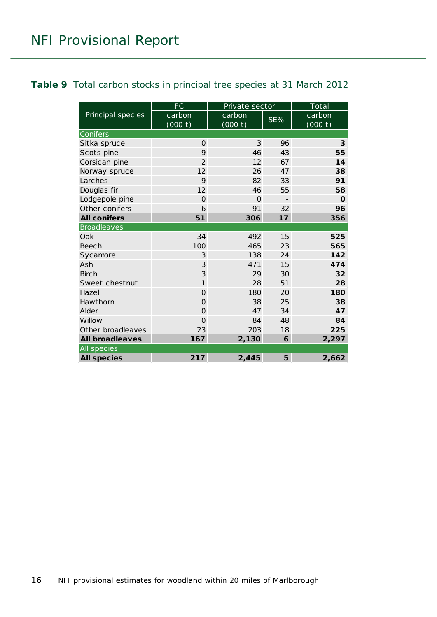#### <span id="page-15-0"></span>**Table 9** Total carbon stocks in principal tree species at 31 March 2012

|                        | FC             | Private sector |                          | Total       |  |  |
|------------------------|----------------|----------------|--------------------------|-------------|--|--|
| Principal species      | carbon         | carbon         | $SE\%$                   | carbon      |  |  |
|                        | (000 t)        | (000 t)        |                          | (000 t)     |  |  |
| Conifers               |                |                |                          |             |  |  |
| Sitka spruce           | $\mathbf{O}$   | 3              | 96                       | 3           |  |  |
| Scots pine             | 9              | 46             | 43                       | 55          |  |  |
| Corsican pine          | $\overline{2}$ | 12             | 67                       | 14          |  |  |
| Norway spruce          | 12             | 26             | 47                       | 38          |  |  |
| Larches                | 9              | 82             | 33                       | 91          |  |  |
| Douglas fir            | 12             | 46             | 55                       | 58          |  |  |
| Lodgepole pine         | $\Omega$       | $\Omega$       | $\overline{\phantom{a}}$ | $\mathbf 0$ |  |  |
| Other conifers         | 6              | 91             | 32                       | 96          |  |  |
| <b>All conifers</b>    | 51             | 306            | 17                       | 356         |  |  |
| <b>Broadleaves</b>     |                |                |                          |             |  |  |
| Oak                    | 34             | 492            | 15                       | 525         |  |  |
| <b>Beech</b>           | 100            | 465            | 23                       | 565         |  |  |
| Sycamore               | 3              | 138            | 24                       | 142         |  |  |
| Ash                    | 3              | 471            | 15                       | 474         |  |  |
| <b>Birch</b>           | 3              | 29             | 30                       | 32          |  |  |
| Sweet chestnut         | $\mathbf{1}$   | 28             | 51                       | 28          |  |  |
| Hazel                  | $\overline{O}$ | 180            | 20                       | 180         |  |  |
| Hawthorn               | $\mathbf 0$    | 38             | 25                       | 38          |  |  |
| Alder                  | $\Omega$       | 47             | 34                       | 47          |  |  |
| Willow                 | $\overline{O}$ | 84             | 48                       | 84          |  |  |
| Other broadleaves      | 23             | 203            | 18                       | 225         |  |  |
| <b>All broadleaves</b> | 167            | 2,130          | 6                        | 2,297       |  |  |
| All species            |                |                |                          |             |  |  |
| <b>All species</b>     | 217            | 2,445          | 5                        | 2,662       |  |  |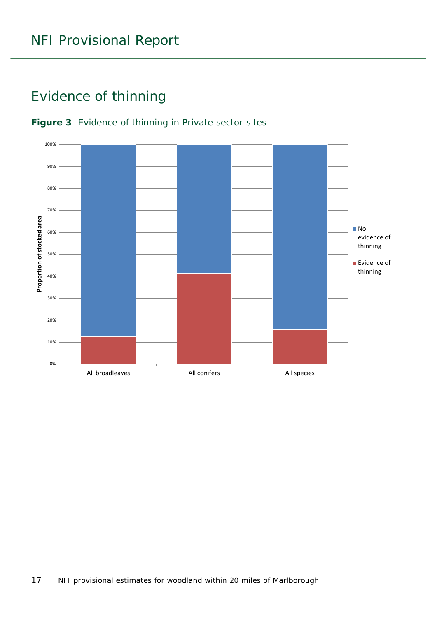### <span id="page-16-0"></span>Evidence of thinning



#### <span id="page-16-1"></span>**Figure 3** Evidence of thinning in Private sector sites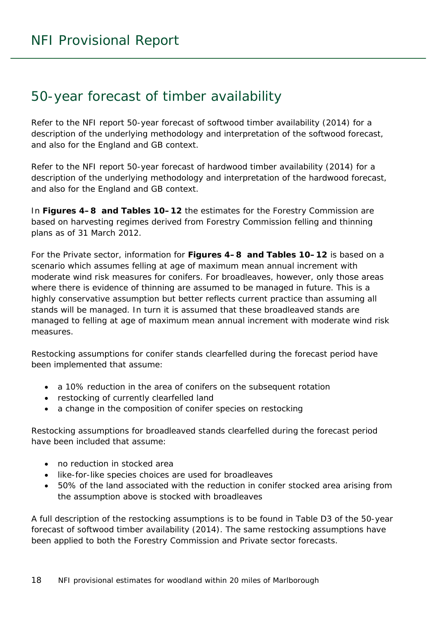### <span id="page-17-0"></span>50-year forecast of timber availability

Refer to the NFI report *50-year forecast of softwood timber availability* (2014) for a description of the underlying methodology and interpretation of the softwood forecast, and also for the England and GB context.

Refer to the NFI report *50-year forecast of hardwood timber availability* (2014) for a description of the underlying methodology and interpretation of the hardwood forecast, and also for the England and GB context.

In **Figures 4–8 and Tables 10–12** the estimates for the Forestry Commission are based on harvesting regimes derived from Forestry Commission felling and thinning plans as of 31 March 2012.

For the Private sector, information for **Figures 4–8 and Tables 10–12** is based on a scenario which assumes felling at age of maximum mean annual increment with moderate wind risk measures for conifers. For broadleaves, however, only those areas where there is evidence of thinning are assumed to be managed in future. This is a highly conservative assumption but better reflects current practice than assuming all stands will be managed. In turn it is assumed that these broadleaved stands are managed to felling at age of maximum mean annual increment with moderate wind risk measures.

Restocking assumptions for conifer stands clearfelled during the forecast period have been implemented that assume:

- a 10% reduction in the area of conifers on the subsequent rotation
- restocking of currently clearfelled land
- a change in the composition of conifer species on restocking

Restocking assumptions for broadleaved stands clearfelled during the forecast period have been included that assume:

- no reduction in stocked area
- like-for-like species choices are used for broadleaves
- 50% of the land associated with the reduction in conifer stocked area arising from the assumption above is stocked with broadleaves

A full description of the restocking assumptions is to be found in Table D3 of the *50-year forecast of softwood timber availability* (2014). The same restocking assumptions have been applied to both the Forestry Commission and Private sector forecasts.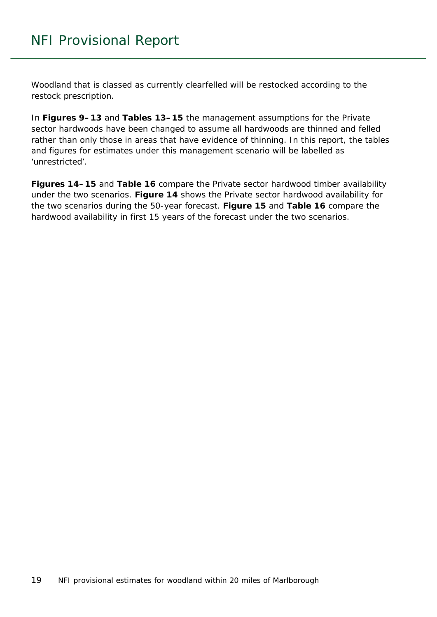Woodland that is classed as currently clearfelled will be restocked according to the restock prescription.

In **Figures 9–13** and **Tables 13–15** the management assumptions for the Private sector hardwoods have been changed to assume all hardwoods are thinned and felled rather than only those in areas that have evidence of thinning. In this report, the tables and figures for estimates under this management scenario will be labelled as 'unrestricted'.

**Figures 14–15** and **Table 16** compare the Private sector hardwood timber availability under the two scenarios. **Figure 14** shows the Private sector hardwood availability for the two scenarios during the 50-year forecast. **Figure 15** and **Table 16** compare the hardwood availability in first 15 years of the forecast under the two scenarios.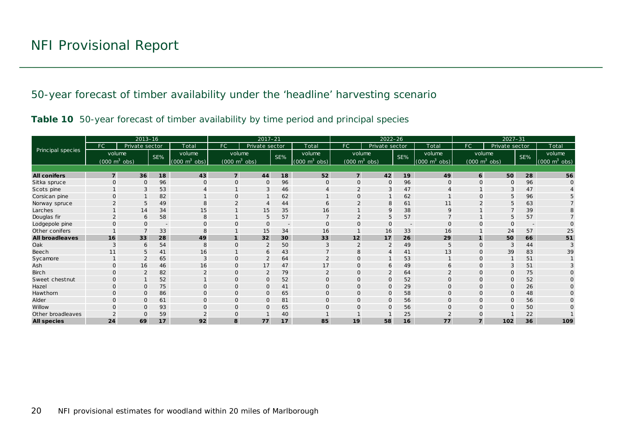50-year forecast of timber availability under the 'headline' harvesting scenario

|  |  | Table 10 50-year forecast of timber availability by time period and principal species |  |  |
|--|--|---------------------------------------------------------------------------------------|--|--|
|  |  |                                                                                       |  |  |

<span id="page-19-1"></span><span id="page-19-0"></span>

|                          | $2013 - 16$    |                                 |                          |                                 | $2017 - 21$                     |                |     |                                 | $2022 - 26$                     |                |                          |                                 | $2027 - 31$  |                                 |        |                                 |
|--------------------------|----------------|---------------------------------|--------------------------|---------------------------------|---------------------------------|----------------|-----|---------------------------------|---------------------------------|----------------|--------------------------|---------------------------------|--------------|---------------------------------|--------|---------------------------------|
|                          | FC.            | Private sector                  |                          | Total                           | FC                              | Private sector |     | Total                           | FC.                             | Private sector |                          | Total                           | FC           | Private sector                  |        | Total                           |
| <b>Principal species</b> |                | volume                          | SE%                      | volume                          | volume                          |                | SE% | volume                          | volume                          |                | SE%                      | volume                          |              | volume                          | $SE\%$ | volume                          |
|                          |                | $(000 \text{ m}^3 \text{ obs})$ |                          | $(000 \text{ m}^3 \text{ obs})$ | $(000 \text{ m}^3 \text{ obs})$ |                |     | $(000 \text{ m}^3 \text{ obs})$ | $(000 \text{ m}^3 \text{ obs})$ |                |                          | $(000 \text{ m}^3 \text{ obs})$ |              | $(000 \text{ m}^3 \text{ obs})$ |        | $(000 \text{ m}^3 \text{ obs})$ |
|                          |                |                                 |                          |                                 |                                 |                |     |                                 |                                 |                |                          |                                 |              |                                 |        |                                 |
| <b>All conifers</b>      | $\overline{7}$ | 36                              | 18                       | 43                              | $\overline{7}$                  | 44             | 18  | 52                              | $\overline{7}$                  | 42             | 19                       | 49                              | $\epsilon$   | 50                              | 28     | 56                              |
| Sitka spruce             | $\Omega$       | $\mathbf 0$                     | 96                       | $\Omega$                        | $\Omega$                        | $\mathbf 0$    | 96  | $\Omega$                        | $\Omega$                        | $\mathbf{O}$   | 96                       | $\mathbf{O}$                    | $\mathbf{O}$ | 0                               | 96     | $\mathbf{O}$                    |
| Scots pine               |                | 3                               | 53                       |                                 |                                 | 3              | 46  |                                 |                                 | 3              | 47                       |                                 |              |                                 | 47     |                                 |
| Corsican pine            |                |                                 | 82                       |                                 | $\Omega$                        |                | 62  |                                 | O                               |                | 62                       |                                 | $\Omega$     |                                 | 96     |                                 |
| Norway spruce            |                | 5                               | 49                       | 8                               |                                 | $\overline{4}$ | 44  | 6                               |                                 | 8              | 61                       | 11                              |              |                                 | 63     |                                 |
| Larches                  |                | 14                              | 34                       | 15                              |                                 | 15             | 35  | 16                              |                                 | 9              | 38                       | 9                               |              |                                 | 39     |                                 |
| Douglas fir              |                | 6                               | 58                       | 8                               |                                 | 5              | 57  |                                 |                                 | 5              | 57                       |                                 |              | 5                               | 57     |                                 |
| Lodgepole pine           |                | $\Omega$                        | $\overline{\phantom{a}}$ |                                 |                                 | $\overline{O}$ |     | $\Omega$                        | ∩                               | $\Omega$       | $\overline{\phantom{a}}$ | $\Omega$                        |              |                                 |        |                                 |
| Other conifers           |                |                                 | 33                       | 8                               |                                 | 15             | 34  | 16                              |                                 | 16             | 33                       | 16                              |              | 24                              | 57     | 25                              |
| <b>All broadleaves</b>   | 16             | 33                              | 28                       | 49                              | 1                               | 32             | 30  | 33                              | 12                              | 17             | 26                       | 29                              |              | 50                              | 66     | 51                              |
| Oak                      |                | 6                               | 54                       | 8                               | $\mathbf{O}$                    | $\overline{2}$ | 50  | 3                               |                                 | 2              | 49                       |                                 | $\Omega$     |                                 | 44     |                                 |
| Beech                    | 11             | 5                               | 41                       | 16                              |                                 | 6              | 43  |                                 | 8                               | $\overline{A}$ | 41                       | 13                              | $\Omega$     | 39                              | 83     | 39                              |
| Sycamore                 |                | $\overline{2}$                  | 65                       | 3                               | $\mathbf{O}$                    | $\overline{2}$ | 64  | $\overline{2}$                  | $\Omega$                        |                | 53                       |                                 | $\Omega$     |                                 | 51     |                                 |
| Ash                      | $\Omega$       | 16                              | 46                       | 16                              | $\mathbf{O}$                    | 17             | 47  | 17                              | O                               | 6              | 49                       | 6                               | $\Omega$     |                                 | 51     |                                 |
| Birch                    | $\Omega$       | $\overline{2}$                  | 82                       |                                 | $\mathbf 0$                     | $\overline{2}$ | 79  |                                 | $\Omega$                        | $\overline{2}$ | 64                       |                                 | $\Omega$     | O                               | 75     |                                 |
| Sweet chestnut           | $\Omega$       |                                 | 52                       |                                 | $\Omega$                        | $\mathbf 0$    | 52  | $\Omega$                        | 0                               | $\mathbf{O}$   | 52                       | $\Omega$                        | $\Omega$     | $\Omega$                        | 52     |                                 |
| Hazel                    | $\Omega$       | $\Omega$                        | 75                       | $\Omega$                        | $\Omega$                        | $\mathsf{O}$   | 41  | $\Omega$                        | $\Omega$                        | $\mathbf{O}$   | 29                       | $\Omega$                        | $\Omega$     | $\Omega$                        | 26     | $\Omega$                        |
| Hawthorn                 | $\Omega$       | $\mathbf 0$                     | 86                       | $\Omega$                        | $\mathbf 0$                     | $\mathsf{O}$   | 65  | $\Omega$                        | O                               | $\mathbf{O}$   | 58                       | $\mathbf{O}$                    | $\mathbf{O}$ | $\Omega$                        | 48     |                                 |
| Alder                    |                | $\Omega$                        | 61                       | $\Omega$                        | $\Omega$                        | $\mathbf 0$    | 81  | $\Omega$                        | O                               | $\Omega$       | 56                       | $\Omega$                        | $\Omega$     |                                 | 56     |                                 |
| Willow                   |                | $\Omega$                        | 93                       | $\Omega$                        | $\Omega$                        | $\mathbf{O}$   | 65  | $\Omega$                        | O                               | $\mathbf{O}$   | 56                       | $\Omega$                        | $\Omega$     |                                 | 50     |                                 |
| Other broadleaves        |                | $\Omega$                        | 59                       |                                 | $\Omega$                        |                | 40  |                                 |                                 |                | 25                       |                                 |              |                                 | 22     |                                 |
| <b>All species</b>       | 24             | 69                              | 17                       | 92                              | 8                               | 77             | 17  | 85                              | 19                              | 58             | 16                       | 77                              | $\mathbf{7}$ | 102                             | 36     | 109                             |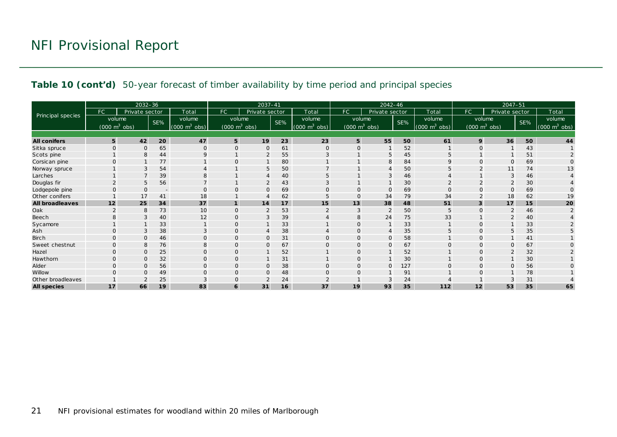#### **Table 10 (cont'd)** 50-year forecast of timber availability by time period and principal species

|                          | 2032-36                         |                |                          |                                 | 2037-41                         |                |     |                                 | $2042 - 46$                     |                |     |                                    | $2047 - 51$                     |                |     |                                 |
|--------------------------|---------------------------------|----------------|--------------------------|---------------------------------|---------------------------------|----------------|-----|---------------------------------|---------------------------------|----------------|-----|------------------------------------|---------------------------------|----------------|-----|---------------------------------|
|                          | FC                              | Private sector |                          | Total                           | <b>FC</b>                       | Private sector |     | Total                           | FC.                             | Private sector |     | Total                              | FC.                             | Private sector |     | Total                           |
| <b>Principal species</b> | volume                          |                | SE%                      | volume                          | volume                          |                | SE% | volume                          | volume                          |                | SE% | volume                             | volume                          |                | SE% | volume                          |
|                          | $(000 \text{ m}^3 \text{ obs})$ |                |                          | $(000 \text{ m}^3 \text{ obs})$ | $(000 \text{ m}^3 \text{ obs})$ |                |     | $(000 \text{ m}^3 \text{ obs})$ | $(000 \text{ m}^3 \text{ obs})$ |                |     | $(000 \; \text{m}^3)$<br>$^3$ obs) | $(000 \text{ m}^3 \text{ obs})$ |                |     | $(000 \text{ m}^3 \text{ obs})$ |
|                          |                                 |                |                          |                                 |                                 |                |     |                                 |                                 |                |     |                                    |                                 |                |     |                                 |
| <b>All conifers</b>      | 5                               | 42             | 20                       | 47                              | 5                               | 19             | 23  | 23                              | 5                               | 55             | 50  | 61                                 | 9                               | 36             | 50  | 44                              |
| Sitka spruce             | $\Omega$                        | $\Omega$       | 65                       | $\Omega$                        | $\Omega$                        | $\circ$        | 61  | $\Omega$                        | $\Omega$                        |                | 52  |                                    | $\Omega$                        |                | 43  |                                 |
| Scots pine               |                                 | 8              | 44                       | $\mathsf Q$                     |                                 | $\overline{2}$ | 55  | 3                               |                                 | 5              | 45  |                                    |                                 |                | 51  |                                 |
| Corsican pine            | $\Omega$                        |                | 77                       |                                 | $\Omega$                        |                | 80  |                                 |                                 | 8              | 84  |                                    | $\Omega$                        | $\Omega$       | 69  |                                 |
| Norway spruce            |                                 | 3              | 54                       |                                 |                                 | 5              | 50  |                                 |                                 |                | 50  |                                    |                                 | 11             | 74  | 13                              |
| Larches                  |                                 |                | 39                       | 8                               |                                 |                | 40  | 5                               |                                 | 3              | 46  |                                    |                                 |                | 46  |                                 |
| Douglas fir              |                                 | 5              | 56                       |                                 |                                 | 2              | 43  |                                 |                                 |                | 30  |                                    |                                 |                | 30  |                                 |
| Lodgepole pine           |                                 | $\Omega$       | $\overline{\phantom{a}}$ | $\Omega$                        | $\Omega$                        | $\mathbf{O}$   | 69  | $\mathbf 0$                     |                                 | $\Omega$       | 69  |                                    | $\Omega$                        | $\Omega$       | 69  |                                 |
| Other conifers           |                                 | 17             | 41                       | 18                              |                                 |                | 62  | 5                               |                                 | 34             | 79  | 34                                 |                                 | 18             | 62  | 19                              |
| <b>All broadleaves</b>   | 12                              | 25             | 34                       | 37                              | $\mathbf{1}$                    | 14             | 17  | 15                              | 13                              | 38             | 48  | 51                                 | 3                               | 17             | 15  | 20                              |
| Oak                      |                                 | 8              | 73                       | 10                              | $\Omega$                        | $\overline{2}$ | 53  | $\overline{2}$                  | 3                               | 2              | 50  | .5                                 | $\Omega$                        |                | 46  | $\mathcal{P}$                   |
| Beech                    |                                 | 3              | 40                       | 12                              | $\Omega$                        | 3              | 39  |                                 |                                 | 24             | 75  | 33                                 |                                 |                | 40  |                                 |
| Sycamore                 |                                 |                | 33                       |                                 | $\Omega$                        |                | 33  |                                 |                                 |                | 33  |                                    |                                 |                | 33  |                                 |
| Ash                      | $\Omega$                        | 3              | 38                       |                                 | $\mathbf 0$                     |                | 38  |                                 |                                 | $\overline{4}$ | 35  |                                    | $\Omega$                        | 5              | 35  |                                 |
| <b>Birch</b>             | $\Omega$                        | $\mathbf{O}$   | 46                       | $\Omega$                        | 0                               | $\mathbf 0$    | 31  | $\mathbf{O}$                    | 0                               | $\mathbf 0$    | 58  |                                    | $\mathbf 0$                     |                | 41  |                                 |
| Sweet chestnut           | $\Omega$                        | 8              | 76                       | 8                               | $\Omega$                        | $\mathbf{O}$   | 67  | $\Omega$                        | $\Omega$                        | $\Omega$       | 67  |                                    | $\Omega$                        | O              | 67  |                                 |
| Hazel                    | $\Omega$                        | $\Omega$       | 25                       | $\Omega$                        | $\overline{0}$                  |                | 52  |                                 |                                 |                | 52  |                                    | $\Omega$                        |                | 32  |                                 |
| Hawthorn                 | $\Omega$                        | $\mathbf{O}$   | 32                       | $\mathbf{O}$                    | $\mathbf{O}$                    |                | 31  |                                 | $\Omega$                        |                | 30  |                                    | $\Omega$                        |                | 30  |                                 |
| Alder                    |                                 | $\Omega$       | 56                       | $\Omega$                        | $\mathbf{O}$                    | $\mathsf{O}$   | 38  | $\mathbf 0$                     |                                 | $\mathbf 0$    | 127 |                                    | $\Omega$                        | $\Omega$       | 56  |                                 |
| Willow                   |                                 | $\Omega$       | 49                       |                                 | $\Omega$                        | $\Omega$       | 48  | $\Omega$                        |                                 |                | 91  |                                    | C                               |                | 78  |                                 |
| Other broadleaves        |                                 |                | 25                       |                                 | $\Omega$                        | $\overline{2}$ | 24  |                                 |                                 | 3              | 24  |                                    |                                 |                | 31  |                                 |
| <b>All species</b>       | 17                              | 66             | 19                       | 83                              | 6                               | 31             | 16  | 37                              | 19                              | 93             | 35  | 112                                | 12                              | 53             | 35  | 65                              |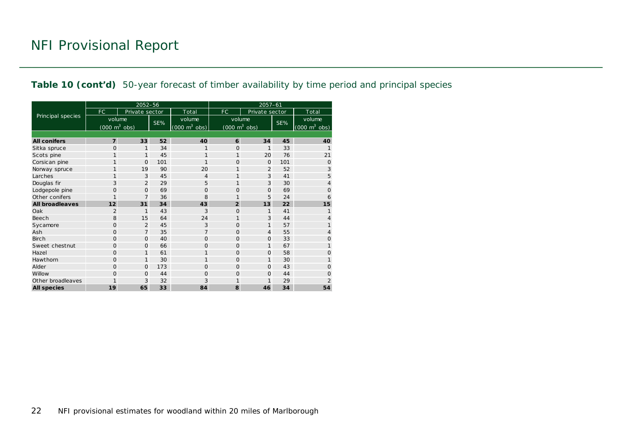#### **Table 10 (cont'd)** 50-year forecast of timber availability by time period and principal species

|                        |                                     | 2052-56        |     |                                 | 2057-61                             |                |     |                                     |  |  |
|------------------------|-------------------------------------|----------------|-----|---------------------------------|-------------------------------------|----------------|-----|-------------------------------------|--|--|
|                        | <b>FC</b>                           | Private sector |     | Total                           | FC.                                 | Private sector |     | Total                               |  |  |
| Principal species      | volume                              |                |     | volume                          | volume                              |                |     | volume                              |  |  |
|                        | $(000 \; \text{m}^3 \; \text{obs})$ |                | SE% | $(000 \text{ m}^3 \text{ obs})$ | $(000 \; \text{m}^3 \; \text{obs})$ |                | SE% | $(000 \; \text{m}^3 \; \text{obs})$ |  |  |
|                        |                                     |                |     |                                 |                                     |                |     |                                     |  |  |
| <b>All conifers</b>    | $\overline{7}$                      | 33             | 52  | 40                              | 6                                   | 34             | 45  | 40                                  |  |  |
| Sitka spruce           | $\Omega$                            | 1              | 34  | $\mathbf{1}$                    | 0                                   | 1              | 33  | $\mathbf{1}$                        |  |  |
| Scots pine             | 1                                   | $\mathbf{1}$   | 45  | 1                               | 1                                   | 20             | 76  | 21                                  |  |  |
| Corsican pine          | 1                                   | $\Omega$       | 101 | 1                               | 0                                   | $\mathbf{O}$   | 101 | $\mathbf 0$                         |  |  |
| Norway spruce          | 1                                   | 19             | 90  | 20                              | 1                                   | $\overline{2}$ | 52  | 3                                   |  |  |
| Larches                | 1                                   | 3              | 45  | 4                               | 1                                   | 3              | 41  | 5                                   |  |  |
| Douglas fir            | 3                                   | $\overline{2}$ | 29  | 5                               | 1                                   | 3              | 30  | 4                                   |  |  |
| Lodgepole pine         | 0                                   | $\Omega$       | 69  | 0                               | 0                                   | $\circ$        | 69  | 0                                   |  |  |
| Other conifers         | $\mathbf{1}$                        | $\overline{7}$ | 36  | 8                               | 1                                   | 5              | 24  | 6                                   |  |  |
| <b>All broadleaves</b> | 12                                  | 31             | 34  | 43                              | $\overline{2}$                      | 13             | 22  | 15                                  |  |  |
| Oak                    | $\overline{2}$                      | $\mathbf{1}$   | 43  | 3                               | $\Omega$                            | 1              | 41  | 1                                   |  |  |
| Beech                  | 8                                   | 15             | 64  | 24                              | 1                                   | 3              | 44  | 4                                   |  |  |
| Sycamore               | 0                                   | 2              | 45  | 3                               | 0                                   | $\mathbf{1}$   | 57  | 1                                   |  |  |
| Ash                    | O                                   | $\overline{7}$ | 35  | $\overline{7}$                  | $\mathbf{O}$                        | $\overline{4}$ | 55  | 4                                   |  |  |
| <b>Birch</b>           | $\Omega$                            | $\Omega$       | 40  | 0                               | 0                                   | $\mathbf{O}$   | 33  | 0                                   |  |  |
| Sweet chestnut         | $\Omega$                            | $\Omega$       | 66  | $\Omega$                        | $\Omega$                            | 1              | 67  | 1                                   |  |  |
| Hazel                  | $\circ$                             | $\mathbf{1}$   | 61  | 1                               | 0                                   | $\circ$        | 58  | $\overline{O}$                      |  |  |
| Hawthorn               | $\Omega$                            | $\mathbf{1}$   | 30  | 1                               | $\Omega$                            | 1              | 30  | 1                                   |  |  |
| Alder                  | $\Omega$                            | $\mathbf 0$    | 173 | O                               | $\Omega$                            | $\Omega$       | 43  | $\Omega$                            |  |  |
| Willow                 | $\Omega$                            | $\Omega$       | 44  | 0                               | $\Omega$                            | $\Omega$       | 44  | $\overline{O}$                      |  |  |
| Other broadleaves      | 1                                   | 3              | 32  | 3                               | 1                                   | 1              | 29  | $\overline{2}$                      |  |  |
| <b>All species</b>     | 19                                  | 65             | 33  | 84                              | 8                                   | 46             | 34  | 54                                  |  |  |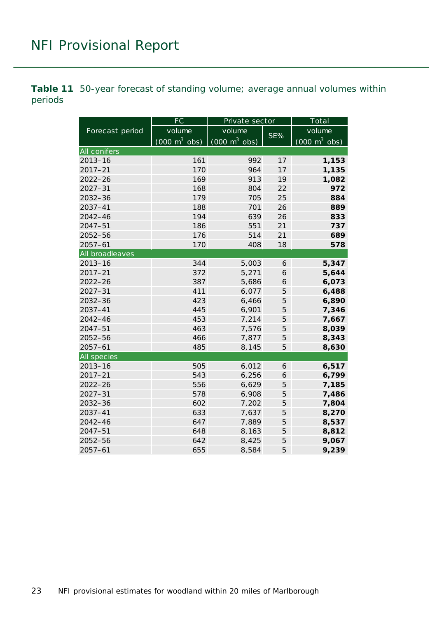<span id="page-22-0"></span>**Table 11** 50-year forecast of standing volume; average annual volumes within periods

|                 | FC                              | Private sector                  |     | Total                           |  |  |
|-----------------|---------------------------------|---------------------------------|-----|---------------------------------|--|--|
| Forecast period | volume                          | volume                          | SE% | volume                          |  |  |
|                 | $(000 \text{ m}^3 \text{ obs})$ | $(000 \text{ m}^3 \text{ obs})$ |     | $(000 \text{ m}^3 \text{ obs})$ |  |  |
| All conifers    |                                 |                                 |     |                                 |  |  |
| $2013 - 16$     | 161                             | 992                             | 17  | 1,153                           |  |  |
| $2017 - 21$     | 170                             | 964                             | 17  | 1,135                           |  |  |
| $2022 - 26$     | 169                             | 913                             | 19  | 1,082                           |  |  |
| $2027 - 31$     | 168                             | 804                             | 22  | 972                             |  |  |
| $2032 - 36$     | 179                             | 705                             | 25  | 884                             |  |  |
| 2037-41         | 188                             | 701                             | 26  | 889                             |  |  |
| 2042-46         | 194                             | 639                             | 26  | 833                             |  |  |
| $2047 - 51$     | 186                             | 551                             | 21  | 737                             |  |  |
| 2052-56         | 176                             | 514                             | 21  | 689                             |  |  |
| $2057 - 61$     | 170                             | 408                             | 18  | 578                             |  |  |
| All broadleaves |                                 |                                 |     |                                 |  |  |
| $2013 - 16$     | 344                             | 5,003                           | 6   | 5,347                           |  |  |
| $2017 - 21$     | 372                             | 5,271                           | 6   | 5,644                           |  |  |
| $2022 - 26$     | 387                             | 5,686                           | 6   | 6,073                           |  |  |
| $2027 - 31$     | 411                             | 6,077                           | 5   | 6,488                           |  |  |
| 2032-36         | 423                             | 6,466                           | 5   | 6,890                           |  |  |
| $2037 - 41$     | 445                             | 6,901                           | 5   | 7,346                           |  |  |
| $2042 - 46$     | 453                             | 7,214                           | 5   | 7,667                           |  |  |
| $2047 - 51$     | 463                             | 7,576                           | 5   | 8,039                           |  |  |
| 2052-56         | 466                             | 7,877                           | 5   | 8,343                           |  |  |
| $2057 - 61$     | 485                             | 8,145                           | 5   | 8,630                           |  |  |
| All species     |                                 |                                 |     |                                 |  |  |
| $2013 - 16$     | 505                             | 6,012                           | 6   | 6,517                           |  |  |
| $2017 - 21$     | 543                             | 6,256                           | 6   | 6,799                           |  |  |
| $2022 - 26$     | 556                             | 6,629                           | 5   | 7,185                           |  |  |
| $2027 - 31$     | 578                             | 6,908                           | 5   | 7,486                           |  |  |
| 2032-36         | 602                             | 7,202                           | 5   | 7,804                           |  |  |
| $2037 - 41$     | 633                             | 7,637                           | 5   | 8,270                           |  |  |
| $2042 - 46$     | 647                             | 7,889                           | 5   | 8,537                           |  |  |
| $2047 - 51$     | 648                             | 8,163                           | 5   | 8,812                           |  |  |
| 2052-56         | 642                             | 8,425                           | 5   | 9,067                           |  |  |
| $2057 - 61$     | 655                             | 8,584                           | 5   | 9,239                           |  |  |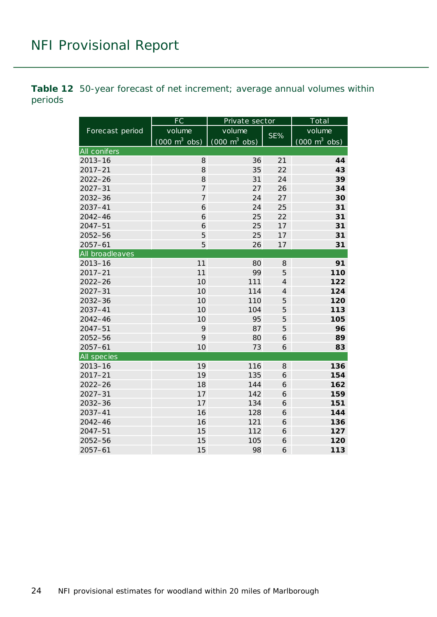<span id="page-23-0"></span>**Table 12** 50-year forecast of net increment; average annual volumes within periods

|                 | FC                              | Private sector                  |                | Total                           |  |  |
|-----------------|---------------------------------|---------------------------------|----------------|---------------------------------|--|--|
| Forecast period | volume                          | volume                          | $SE\%$         | volume                          |  |  |
|                 | $(000 \text{ m}^3 \text{ obs})$ | $(000 \text{ m}^3 \text{ obs})$ |                | $(000 \text{ m}^3 \text{ obs})$ |  |  |
| All conifers    |                                 |                                 |                |                                 |  |  |
| $2013 - 16$     | 8                               | 36                              | 21             | 44                              |  |  |
| $2017 - 21$     | 8                               | 35                              | 22             | 43                              |  |  |
| $2022 - 26$     | 8                               | 31                              | 24             | 39                              |  |  |
| $2027 - 31$     | $\overline{7}$                  | 27                              | 26             | 34                              |  |  |
| $2032 - 36$     | $\overline{7}$                  | 24                              | 27             | 30                              |  |  |
| 2037-41         | 6                               | 24                              | 25             | 31                              |  |  |
| $2042 - 46$     | 6                               | 25                              | 22             | 31                              |  |  |
| $2047 - 51$     | 6                               | 25                              | 17             | 31                              |  |  |
| 2052-56         | 5                               | 25                              | 17             | 31                              |  |  |
| $2057 - 61$     | 5                               | 26                              | 17             | 31                              |  |  |
| All broadleaves |                                 |                                 |                |                                 |  |  |
| $2013 - 16$     | 11                              | 80                              | 8              | 91                              |  |  |
| $2017 - 21$     | 11                              | 99                              | 5              | 110                             |  |  |
| $2022 - 26$     | 10                              | 111                             | $\overline{4}$ | 122                             |  |  |
| $2027 - 31$     | 10                              | 114                             | $\overline{4}$ | 124                             |  |  |
| 2032-36         | 10                              | 110                             | 5              | 120                             |  |  |
| $2037 - 41$     | 10                              | 104                             | 5              | 113                             |  |  |
| $2042 - 46$     | 10                              | 95                              | 5              | 105                             |  |  |
| $2047 - 51$     | 9                               | 87                              | 5              | 96                              |  |  |
| 2052-56         | 9                               | 80                              | 6              | 89                              |  |  |
| $2057 - 61$     | 10                              | 73                              | 6              | 83                              |  |  |
| All species     |                                 |                                 |                |                                 |  |  |
| $2013 - 16$     | 19                              | 116                             | 8              | 136                             |  |  |
| $2017 - 21$     | 19                              | 135                             | 6              | 154                             |  |  |
| $2022 - 26$     | 18                              | 144                             | 6              | 162                             |  |  |
| $2027 - 31$     | 17                              | 142                             | 6              | 159                             |  |  |
| 2032-36         | 17                              | 134                             | 6              | 151                             |  |  |
| $2037 - 41$     | 16                              | 128                             | 6              | 144                             |  |  |
| $2042 - 46$     | 16                              | 121                             | 6              | 136                             |  |  |
| $2047 - 51$     | 15                              | 112                             | 6              | 127                             |  |  |
| 2052-56         | 15                              | 105                             | 6              | 120                             |  |  |
| $2057 - 61$     | 15                              | 98                              | 6              | 113                             |  |  |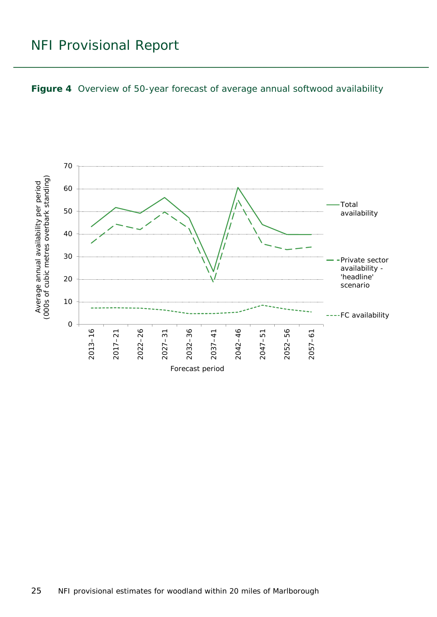<span id="page-24-0"></span>

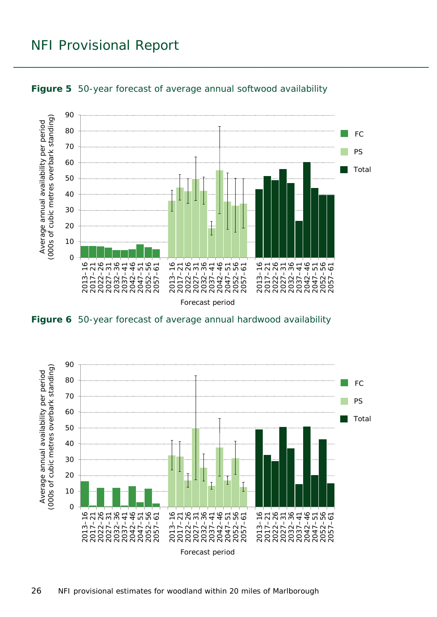

<span id="page-25-0"></span>

<span id="page-25-1"></span>

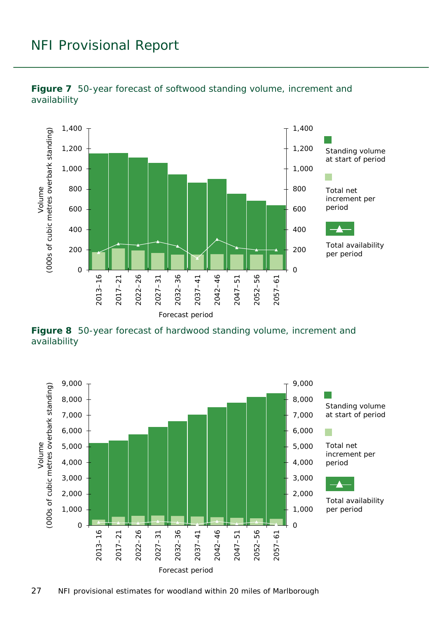

<span id="page-26-0"></span>**Figure 7** 50-year forecast of softwood standing volume, increment and availability

<span id="page-26-1"></span>**Figure 8** 50-year forecast of hardwood standing volume, increment and availability

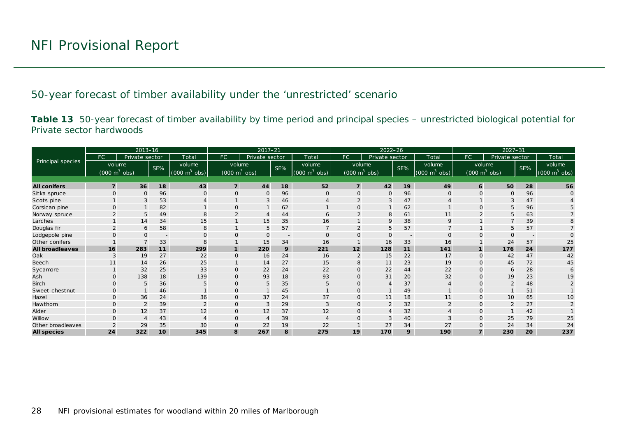50-year forecast of timber availability under the 'unrestricted' scenario

**Table 13** 50-year forecast of timber availability by time period and principal species – unrestricted biological potential for Private sector hardwoods

<span id="page-27-1"></span><span id="page-27-0"></span>

|                        | $2013 - 16$    |                                 |                          |                                | $2017 - 21$                     |                |                |                                 | $2022 - 26$                     |                |                          |                                     | $2027 - 31$    |                                 |                          |                                     |
|------------------------|----------------|---------------------------------|--------------------------|--------------------------------|---------------------------------|----------------|----------------|---------------------------------|---------------------------------|----------------|--------------------------|-------------------------------------|----------------|---------------------------------|--------------------------|-------------------------------------|
|                        | FC.            | Private sector                  |                          | Total                          | <b>FC</b>                       | Private sector |                | Total                           | FC                              | Private sector |                          | Total                               | FC             | Private sector                  |                          | Total                               |
| Principal species      |                | volume                          | SE%                      | volume                         | volume                          |                | SE%            | volume                          | volume                          |                | SE%                      | volume                              |                | volume                          | SE%                      | volume                              |
|                        |                | $(000 \text{ m}^3 \text{ obs})$ |                          | $(000 \text{ m}^3)$<br>$\cosh$ | $(000 \text{ m}^3 \text{ obs})$ |                |                | $(000 \text{ m}^3 \text{ obs})$ | $(000 \text{ m}^3 \text{ obs})$ |                |                          | $(000 \; \text{m}^3 \; \text{obs})$ |                | $(000 \text{ m}^3 \text{ obs})$ |                          | $(000 \; \text{m}^3 \; \text{obs})$ |
|                        |                |                                 |                          |                                |                                 |                |                |                                 |                                 |                |                          |                                     |                |                                 |                          |                                     |
| <b>All conifers</b>    | $\overline{7}$ | 36                              | 18                       | 43                             | $\overline{7}$                  | 44             | 18             | 52                              | $\overline{7}$                  | 42             | 19                       | 49                                  | 6              | 50                              | 28                       | 56                                  |
| Sitka spruce           | $\Omega$       | $\mathbf 0$                     | 96                       | $\Omega$                       | $\Omega$                        | $\mathbf 0$    | 96             | $\Omega$                        | O                               | $\mathsf{O}$   | 96                       | O                                   | $\mathbf{O}$   | $\mathbf{O}$                    | 96                       |                                     |
| Scots pine             |                | 3                               | 53                       |                                |                                 | 3              | 46             |                                 | $\overline{2}$                  | 3              | 47                       |                                     |                | 3                               | 47                       |                                     |
| Corsican pine          | $\Omega$       |                                 | 82                       |                                | $\Omega$                        |                | 62             |                                 | $\Omega$                        |                | 62                       |                                     | $\Omega$       | 5                               | 96                       |                                     |
| Norway spruce          |                | 5                               | 49                       |                                |                                 |                | 44             | 6                               |                                 | 8              | 61                       | 11                                  |                | 5                               | 63                       |                                     |
| Larches                |                | 14                              | 34                       | 15                             |                                 | 15             | 35             | 16                              |                                 | 9              | 38                       | 9                                   |                | $\overline{7}$                  | 39                       |                                     |
| Douglas fir            |                | 6                               | 58                       | 8                              |                                 | 5              | 57             |                                 | $\overline{2}$                  | 5              | 57                       |                                     |                | 5                               | 57                       |                                     |
| Lodgepole pine         |                | $\Omega$                        | $\overline{\phantom{a}}$ | $\Omega$                       | $\Omega$                        | $\mathsf{O}$   | $\overline{a}$ | $\Omega$                        | $\Omega$                        | $\Omega$       | $\overline{\phantom{a}}$ | $\Omega$                            | $\Omega$       | $\Omega$                        | $\overline{\phantom{a}}$ |                                     |
| Other conifers         |                |                                 | 33                       |                                |                                 | 15             | 34             | 16                              |                                 | 16             | 33                       | 16                                  |                | 24                              | 57                       | 25                                  |
| <b>All broadleaves</b> | 16             | 283                             | 11                       | 299                            | $\mathbf{1}$                    | 220            | 9              | 221                             | 12                              | 128            | 11                       | 141                                 | $\mathbf{1}$   | 176                             | 24                       | 177                                 |
| Oak                    |                | 19                              | 27                       | 22                             | $\mathbf{O}$                    | 16             | 24             | 16                              | $\overline{2}$                  | 15             | 22                       | 17                                  | $\mathbf{O}$   | 42                              | 47                       | 42                                  |
| Beech                  |                | 14                              | 26                       | 25                             |                                 | 14             | 27             | 15                              | 8                               | 11             | 23                       | 19                                  | $\mathbf{O}$   | 45                              | 72                       | 45                                  |
| Sycamore               |                | 32                              | 25                       | 33                             | $\overline{0}$                  | 22             | 24             | 22                              | 0                               | 22             | 44                       | 22                                  | $\Omega$       | 6                               | 28                       |                                     |
| Ash                    | $\Omega$       | 138                             | 18                       | 139                            | $\Omega$                        | 93             | 18             | 93                              | $\Omega$                        | 31             | 20                       | 32                                  | $\Omega$       | 19                              | 23                       | 19                                  |
| <b>Birch</b>           | $\mathbf{O}$   | 5                               | 36                       | 5                              | $\mathbf{O}$                    | 5              | 35             | 5                               | 0                               | $\overline{4}$ | 37                       | $\overline{4}$                      | $\mathbf{O}$   |                                 | 48                       |                                     |
| Sweet chestnut         | $\Omega$       |                                 | 46                       |                                | $\Omega$                        |                | 45             |                                 | $\Omega$                        |                | 49                       |                                     | $\Omega$       |                                 | 51                       |                                     |
| Hazel                  | $\Omega$       | 36                              | 24                       | 36                             |                                 | 37             | 24             | 37                              | $\Omega$                        | 11             | 18                       | 11                                  | $\mathbf{O}$   | 10                              | 65                       | 10                                  |
| Hawthorn               | $\Omega$       | $\overline{2}$                  | 39                       | $\overline{2}$                 | $\mathbf 0$                     | 3              | 29             | 3                               | $\Omega$                        | 2              | 32                       | 2                                   | $\mathbf{O}$   | $\overline{2}$                  | 27                       |                                     |
| Alder                  | $\Omega$       | 12                              | 37                       | 12                             | $\mathbf{O}$                    | 12             | 37             | 12                              | 0                               | 4              | 32                       |                                     | $\overline{O}$ |                                 | 42                       |                                     |
| Willow                 |                |                                 | 43                       |                                | $\Omega$                        | $\overline{4}$ | 39             |                                 | O                               | 3              | 40                       |                                     | $\Omega$       | 25                              | 79                       | 25                                  |
| Other broadleaves      |                | 29                              | 35                       | 30                             |                                 | 22             | 19             | 22                              |                                 | 27             | 34                       | 27                                  |                | 24                              | 34                       | 24                                  |
| <b>All species</b>     | 24             | 322                             | 10                       | 345                            | 8                               | 267            | 8              | 275                             | 19                              | 170            | 9                        | 190                                 |                | 230                             | 20                       | 237                                 |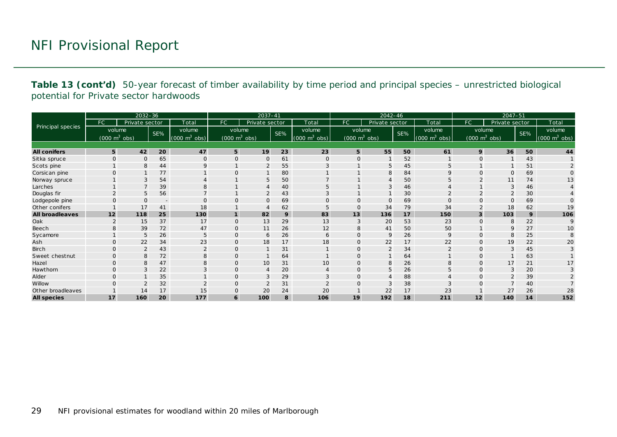**Table 13 (cont'd)** 50-year forecast of timber availability by time period and principal species – unrestricted biological potential for Private sector hardwoods

| $2032 - 36$            |                                 |                |                          | 2037-41                         |                                 |                |     | 2042-46                         |                                 |                |     | $2047 - 51$                     |                         |                                 |     |                                 |
|------------------------|---------------------------------|----------------|--------------------------|---------------------------------|---------------------------------|----------------|-----|---------------------------------|---------------------------------|----------------|-----|---------------------------------|-------------------------|---------------------------------|-----|---------------------------------|
|                        | FC.                             | Private sector |                          | Total                           | <b>FC</b>                       | Private sector |     | Total                           | FC.                             | Private sector |     | Total                           | FC.                     | Private sector                  |     | Total                           |
| Principal species      | volume                          |                | SE%                      | volume                          | volume                          |                | SE% | volume                          | volume                          |                | SE% | volume                          |                         | volume                          | SE% | volume                          |
|                        | $(000 \text{ m}^3 \text{ obs})$ |                |                          | $(000 \text{ m}^3 \text{ obs})$ | $(000 \text{ m}^3 \text{ obs})$ |                |     | $(000 \text{ m}^3 \text{ obs})$ | $(000 \text{ m}^3 \text{ obs})$ |                |     | $(000 \text{ m}^3 \text{ obs})$ |                         | $(000 \text{ m}^3 \text{ obs})$ |     | $(000 \text{ m}^3 \text{ obs})$ |
|                        |                                 |                |                          |                                 |                                 |                |     |                                 |                                 |                |     |                                 |                         |                                 |     |                                 |
| <b>All conifers</b>    | 5                               | 42             | 20                       | 47                              | 5                               | 19             | 23  | 23                              | 5                               | 55             | 50  | 61                              | 9                       | 36                              | 50  | 44                              |
| Sitka spruce           | $\Omega$                        | $\Omega$       | 65                       | $\Omega$                        | $\overline{0}$                  | $\mathbf{O}$   | 61  | $\mathbf 0$                     | $\Omega$                        |                | 52  |                                 | $\Omega$                |                                 | 43  |                                 |
| Scots pine             |                                 | 8              | 44                       | $\mathsf Q$                     |                                 | $\overline{2}$ | 55  | 3                               |                                 | 5              | 45  | 5                               |                         |                                 | 51  |                                 |
| Corsican pine          | $\Omega$                        |                | 77                       |                                 | $\Omega$                        | $\mathbf{1}$   | 80  |                                 |                                 | 8              | 84  | 9                               | $\Omega$                | $\Omega$                        | 69  | $\Omega$                        |
| Norway spruce          |                                 | 3              | 54                       |                                 |                                 | 5              | 50  |                                 |                                 | 4              | 50  | 5                               |                         | 11                              | 74  | 13                              |
| Larches                |                                 |                | 39                       |                                 |                                 |                | 40  | 5                               |                                 | 3              | 46  |                                 |                         | 3                               | 46  |                                 |
| Douglas fir            | $\overline{2}$                  | 5              | 56                       |                                 |                                 | 2              | 43  | 3                               |                                 | $\mathbf{1}$   | 30  | $\overline{2}$                  | $\overline{2}$          | 2                               | 30  |                                 |
| Lodgepole pine         |                                 | $\Omega$       | $\overline{\phantom{a}}$ |                                 | $\Omega$                        | $\mathsf{O}$   | 69  | O                               | 0                               | $\mathbf{O}$   | 69  | $\Omega$                        |                         | $\mathbf{O}$                    | 69  |                                 |
| Other conifers         |                                 | 17             | 41                       | 18                              |                                 | 4              | 62  | 5                               | $\Omega$                        | 34             | 79  | 34                              |                         | 18                              | 62  | 19                              |
| <b>All broadleaves</b> | 12                              | 118            | 25                       | 130                             | $\mathbf{1}$                    | 82             | 9   | 83                              | 13                              | 136            | 17  | 150                             | $\overline{\mathbf{3}}$ | 103                             | 9   | 106                             |
| Oak                    | 2                               | 15             | 37                       | 17                              | $\mathbf 0$                     | 13             | 29  | 13                              | 3                               | 20             | 53  | 23                              | $\Omega$                | 8                               | 22  | 9                               |
| Beech                  |                                 | 39             | 72                       | 47                              | 0                               | 11             | 26  | 12                              | 8                               | 41             | 50  | 50                              |                         | 9                               | 27  | 10                              |
| Sycamore               |                                 | 5              | 26                       |                                 | $\overline{0}$                  | 6              | 26  | 6                               | $\Omega$                        | 9              | 26  | 9                               | $\Omega$                | 8                               | 25  |                                 |
| Ash                    | $\Omega$                        | 22             | 34                       | 23                              | $\mathbf 0$                     | 18             | 17  | 18                              | $\Omega$                        | 22             | 17  | 22                              | $\mathbf{O}$            | 19                              | 22  | 20                              |
| Birch                  | $\mathbf{O}$                    | $\overline{2}$ | 43                       |                                 | $\mathbf 0$                     |                | 31  |                                 | 0                               | 2              | 34  | $\overline{2}$                  | 0                       | 3                               | 45  |                                 |
| Sweet chestnut         | $\Omega$                        | 8              | 72                       |                                 | $\mathbf 0$                     |                | 64  |                                 | 0                               |                | 64  |                                 | $\Omega$                |                                 | 63  |                                 |
| Hazel                  | $\Omega$                        | 8              | 47                       |                                 | $\overline{0}$                  | 10             | 31  | 10                              | O                               | 8              | 26  | 8                               | $\Omega$                | 17                              | 21  | 17                              |
| Hawthorn               | $\Omega$                        | 3              | 22                       |                                 | $\mathbf 0$                     | $\overline{4}$ | 20  |                                 | 0                               | 5              | 26  | 5                               | $\mathbf{O}$            | 3                               | 20  |                                 |
| Alder                  | $\Omega$                        |                | 35                       |                                 | $\Omega$                        | 3              | 29  |                                 | $\Omega$                        | Δ              | 88  |                                 | $\Omega$                |                                 | 39  |                                 |
| Willow                 |                                 |                | 32                       |                                 | $\mathbf 0$                     | $\overline{2}$ | 31  |                                 | $\Omega$                        | 3              | 38  | 3                               |                         |                                 | 40  |                                 |
| Other broadleaves      |                                 | 14             | 17                       | 15                              | $\mathbf 0$                     | 20             | 24  | 20                              |                                 | 22             | 17  | 23                              |                         | 27                              | 26  | 28                              |
| <b>All species</b>     | 17                              | 160            | 20                       | 177                             | 6                               | 100            | 8   | 106                             | 19                              | 192            | 18  | 211                             | 12                      | 140                             | 14  | 152                             |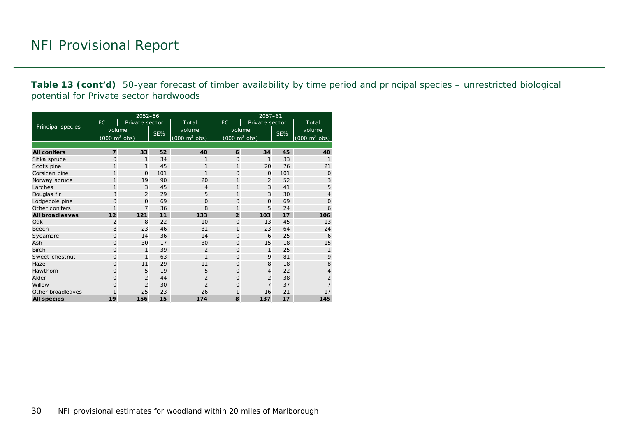**Table 13 (cont'd)** 50-year forecast of timber availability by time period and principal species – unrestricted biological potential for Private sector hardwoods

|                        |                                 | 2052-56        |     |                                     | $2057 - 61$                         |                |     |                                 |  |  |  |
|------------------------|---------------------------------|----------------|-----|-------------------------------------|-------------------------------------|----------------|-----|---------------------------------|--|--|--|
|                        | FC                              | Private sector |     | Total                               | FC                                  | Private sector |     | Total                           |  |  |  |
| Principal species      | volume                          |                |     | volume                              | volume                              |                | SE% | volume                          |  |  |  |
|                        | $(000 \text{ m}^3 \text{ obs})$ |                | SE% | $(000 \; \text{m}^3 \; \text{obs})$ | $(000 \; \text{m}^3 \; \text{obs})$ |                |     | $(000 \text{ m}^3 \text{ obs})$ |  |  |  |
|                        |                                 |                |     |                                     |                                     |                |     |                                 |  |  |  |
| <b>All conifers</b>    | $\overline{7}$                  | 33             | 52  | 40                                  | 6                                   | 34             | 45  | 40                              |  |  |  |
| Sitka spruce           | $\Omega$                        | 1              | 34  | 1                                   | $\Omega$                            | 1              | 33  |                                 |  |  |  |
| Scots pine             | 1                               | $\mathbf{1}$   | 45  | 1                                   | $\mathbf{1}$                        | 20             | 76  | 21                              |  |  |  |
| Corsican pine          | 1                               | 0              | 101 | $\mathbf{1}$                        | 0                                   | $\mathbf{O}$   | 101 | $\overline{O}$                  |  |  |  |
| Norway spruce          | 1                               | 19             | 90  | 20                                  | 1                                   | $\overline{2}$ | 52  | 3                               |  |  |  |
| Larches                | 1                               | 3              | 45  | $\overline{4}$                      | 1                                   | 3              | 41  | 5                               |  |  |  |
| Douglas fir            | 3                               | $\overline{2}$ | 29  | 5                                   | 1                                   | 3              | 30  | $\overline{4}$                  |  |  |  |
| Lodgepole pine         | 0                               | $\Omega$       | 69  | $\Omega$                            | 0                                   | $\Omega$       | 69  | $\overline{0}$                  |  |  |  |
| Other conifers         | $\mathbf{1}$                    | $\overline{7}$ | 36  | 8                                   | 1                                   | 5              | 24  | 6                               |  |  |  |
| <b>All broadleaves</b> | 12                              | 121            | 11  | 133                                 | $\overline{2}$                      | 103            | 17  | 106                             |  |  |  |
| Oak                    | 2                               | 8              | 22  | 10                                  | 0                                   | 13             | 45  | 13                              |  |  |  |
| Beech                  | 8                               | 23             | 46  | 31                                  | 1                                   | 23             | 64  | 24                              |  |  |  |
| Sycamore               | $\Omega$                        | 14             | 36  | 14                                  | $\Omega$                            | 6              | 25  | 6                               |  |  |  |
| Ash                    | O                               | 30             | 17  | 30                                  | $\Omega$                            | 15             | 18  | 15                              |  |  |  |
| <b>Birch</b>           | O                               | 1              | 39  | $\overline{2}$                      | 0                                   | 1              | 25  | 1                               |  |  |  |
| Sweet chestnut         | $\Omega$                        | $\mathbf{1}$   | 63  | $\mathbf{1}$                        | $\Omega$                            | 9              | 81  | 9                               |  |  |  |
| Hazel                  | $\Omega$                        | 11             | 29  | 11                                  | $\Omega$                            | 8              | 18  | 8                               |  |  |  |
| <b>Hawthorn</b>        | $\Omega$                        | 5              | 19  | 5                                   | $\Omega$                            | $\overline{4}$ | 22  | $\overline{4}$                  |  |  |  |
| Alder                  | O                               | $\overline{2}$ | 44  | $\overline{2}$                      | 0                                   | $\overline{2}$ | 38  | $\overline{2}$                  |  |  |  |
| Willow                 | $\Omega$                        | $\overline{2}$ | 30  | $\overline{2}$                      | 0                                   | $\overline{7}$ | 37  | $\overline{7}$                  |  |  |  |
| Other broadleaves      | 1                               | 25             | 23  | 26                                  | 1                                   | 16             | 21  | 17                              |  |  |  |
| <b>All species</b>     | 19                              | 156            | 15  | 174                                 | 8                                   | 137            | 17  | 145                             |  |  |  |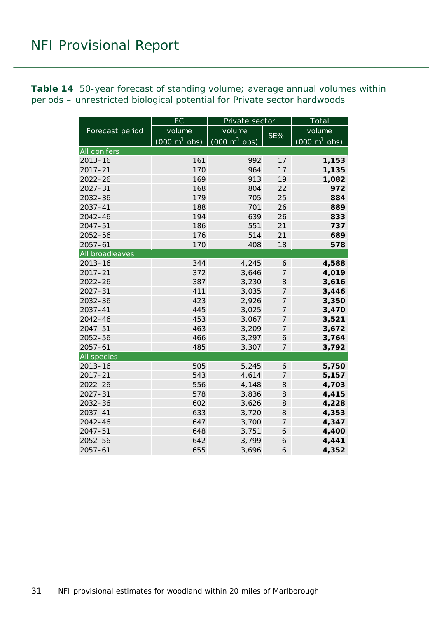<span id="page-30-0"></span>**Table 14** 50-year forecast of standing volume; average annual volumes within periods – unrestricted biological potential for Private sector hardwoods

|                    | FC                              | Private sector                         |                  | Total                           |  |  |
|--------------------|---------------------------------|----------------------------------------|------------------|---------------------------------|--|--|
| Forecast period    | volume                          | volume                                 | SE%              | volume                          |  |  |
|                    | $(000 \text{ m}^3 \text{ obs})$ | $\sqrt{(000 \text{ m}^3 \text{ obs})}$ |                  | $(000 \text{ m}^3 \text{ obs})$ |  |  |
| All conifers       |                                 |                                        |                  |                                 |  |  |
| $2013 - 16$        | 161                             | 992                                    | 17               | 1,153                           |  |  |
| $2017 - 21$        | 170                             | 964                                    | 17               | 1,135                           |  |  |
| $2022 - 26$        | 169                             | 913                                    | 19               | 1,082                           |  |  |
| $2027 - 31$        | 168                             | 804                                    | 22               | 972                             |  |  |
| 2032-36            | 179                             | 705                                    | 25               | 884                             |  |  |
| 2037-41            | 188                             | 701                                    | 26               | 889                             |  |  |
| 2042-46            | 194                             | 639                                    | 26               | 833                             |  |  |
| $2047 - 51$        | 186                             | 551                                    | 21               | 737                             |  |  |
| 2052-56            | 176                             | 514                                    | 21               | 689                             |  |  |
| $2057 - 61$        | 170                             | 408                                    | 18               | 578                             |  |  |
| All broadleaves    |                                 |                                        |                  |                                 |  |  |
| $2013 - 16$        | 344                             | 4,245                                  | 6                | 4,588                           |  |  |
| $2017 - 21$        | 372                             | 3,646                                  | $\overline{z}$   | 4,019                           |  |  |
| $2022 - 26$        | 387                             | 3,230                                  | 8                | 3,616                           |  |  |
| $2027 - 31$        | 411                             | 3,035                                  | 7                | 3,446                           |  |  |
| $2032 - 36$        | 423                             | 2,926                                  | 7                | 3,350                           |  |  |
| $2037 - 41$        | 445                             | 3,025                                  | 7                | 3,470                           |  |  |
| $2042 - 46$        | 453                             | 3,067                                  | 7                | 3,521                           |  |  |
| $2047 - 51$        | 463                             | 3,209                                  | 7                | 3,672                           |  |  |
| 2052-56            | 466                             | 3,297                                  | 6                | 3,764                           |  |  |
| $2057 - 61$        | 485                             | 3,307                                  | $\overline{7}$   | 3,792                           |  |  |
| <b>All species</b> |                                 |                                        |                  |                                 |  |  |
| $2013 - 16$        | 505                             | 5,245                                  | 6                | 5,750                           |  |  |
| $2017 - 21$        | 543                             | 4,614                                  | $\overline{7}$   | 5,157                           |  |  |
| $2022 - 26$        | 556                             | 4,148                                  | 8                | 4,703                           |  |  |
| $2027 - 31$        | 578                             | 3,836                                  | 8                | 4,415                           |  |  |
| 2032-36            | 602                             | 3,626                                  | 8                | 4,228                           |  |  |
| $2037 - 41$        | 633                             | 3,720                                  | 8                | 4,353                           |  |  |
| 2042-46            | 647                             | 3,700                                  | $\boldsymbol{7}$ | 4,347                           |  |  |
| $2047 - 51$        | 648                             | 3,751                                  | 6                | 4,400                           |  |  |
| 2052-56            | 642                             | 3,799                                  | 6                | 4,441                           |  |  |
| $2057 - 61$        | 655                             | 3,696                                  | 6                | 4,352                           |  |  |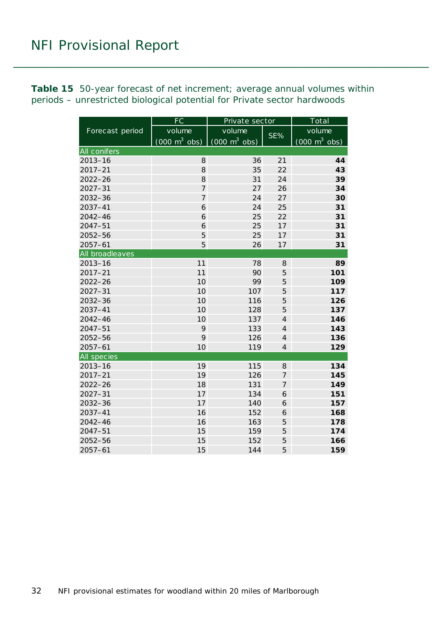<span id="page-31-0"></span>**Table 15** 50-year forecast of net increment; average annual volumes within periods – unrestricted biological potential for Private sector hardwoods

|                     | FC                              | Private sector                  | Total          |                                     |  |
|---------------------|---------------------------------|---------------------------------|----------------|-------------------------------------|--|
| Forecast period     | volume                          | volume                          |                | volume                              |  |
|                     | $(000 \text{ m}^3 \text{ obs})$ | $(000 \text{ m}^3 \text{ obs})$ | SE%            | $(000 \; \text{m}^3 \; \text{obs})$ |  |
| <b>All conifers</b> |                                 |                                 |                |                                     |  |
| $2013 - 16$         | 8                               | 36                              | 21             | 44                                  |  |
| $2017 - 21$         | 8                               | 35                              | 22             | 43                                  |  |
| $2022 - 26$         | 8                               | 31                              | 24             | 39                                  |  |
| $2027 - 31$         | $\overline{7}$                  | 27                              | 26             | 34                                  |  |
| 2032-36             | $\overline{7}$                  | 24                              | 27             | 30                                  |  |
| 2037-41             | 6                               | 24                              | 25             | 31                                  |  |
| $2042 - 46$         | 6                               | 25                              | 22             | 31                                  |  |
| $2047 - 51$         | 6                               | 25                              | 17             | 31                                  |  |
| 2052-56             | 5                               | 25                              | 17             | 31                                  |  |
| $2057 - 61$         | 5                               | 26                              | 17             | 31                                  |  |
| All broadleaves     |                                 |                                 |                |                                     |  |
| $2013 - 16$         | 11                              | 78                              | 8              | 89                                  |  |
| $2017 - 21$         | 11                              | 90                              | 5              | 101                                 |  |
| $2022 - 26$         | 10                              | 99                              | 5              | 109                                 |  |
| $2027 - 31$         | 10                              | 107                             | 5              | 117                                 |  |
| $2032 - 36$         | 10                              | 116                             | 5              | 126                                 |  |
| $2037 - 41$         | 10                              | 128                             | 5              | 137                                 |  |
| $2042 - 46$         | 10                              | 137                             | $\overline{4}$ | 146                                 |  |
| $2047 - 51$         | 9                               | 133                             | $\overline{4}$ | 143                                 |  |
| 2052-56             | 9                               | 126                             | $\overline{4}$ | 136                                 |  |
| $2057 - 61$         | 10                              | 119                             | $\overline{4}$ | 129                                 |  |
| All species         |                                 |                                 |                |                                     |  |
| $2013 - 16$         | 19                              | 115                             | 8              | 134                                 |  |
| $2017 - 21$         | 19                              | 126                             | 7              | 145                                 |  |
| $2022 - 26$         | 18                              | 131                             | $\overline{7}$ | 149                                 |  |
| $2027 - 31$         | 17                              | 134                             | 6              | 151                                 |  |
| 2032-36             | 17                              | 140                             | 6              | 157                                 |  |
| 2037-41             | 16                              | 152                             | 6              | 168                                 |  |
| 2042-46             | 16                              | 163                             | 5              | 178                                 |  |
| $2047 - 51$         | 15                              | 159                             | 5              | 174                                 |  |
| 2052-56             | 15                              | 152                             | 5              | 166                                 |  |
| $2057 - 61$         | 15                              | 144                             | 5              | 159                                 |  |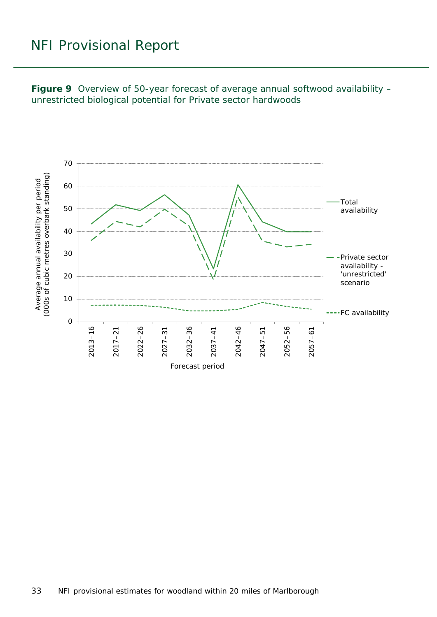<span id="page-32-0"></span>**Figure 9** Overview of 50-year forecast of average annual softwood availability – unrestricted biological potential for Private sector hardwoods

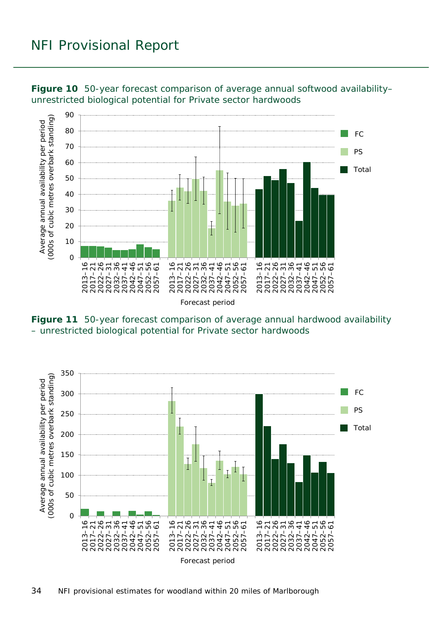

<span id="page-33-0"></span>**Figure 10** 50-year forecast comparison of average annual softwood availability– unrestricted biological potential for Private sector hardwoods

<span id="page-33-1"></span>**Figure 11** 50-year forecast comparison of average annual hardwood availability – unrestricted biological potential for Private sector hardwoods

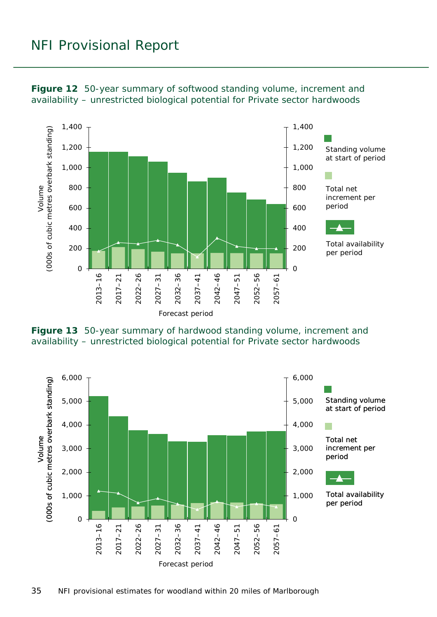

<span id="page-34-0"></span>**Figure 12** 50-year summary of softwood standing volume, increment and availability – unrestricted biological potential for Private sector hardwoods

<span id="page-34-1"></span>

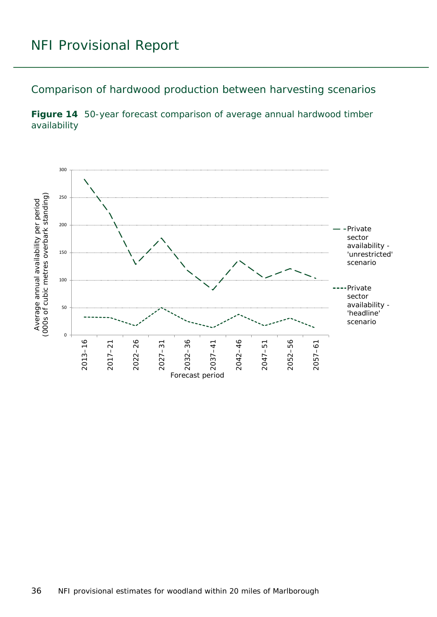<span id="page-35-0"></span>Comparison of hardwood production between harvesting scenarios

<span id="page-35-1"></span>**Figure 14** 50-year forecast comparison of average annual hardwood timber availability

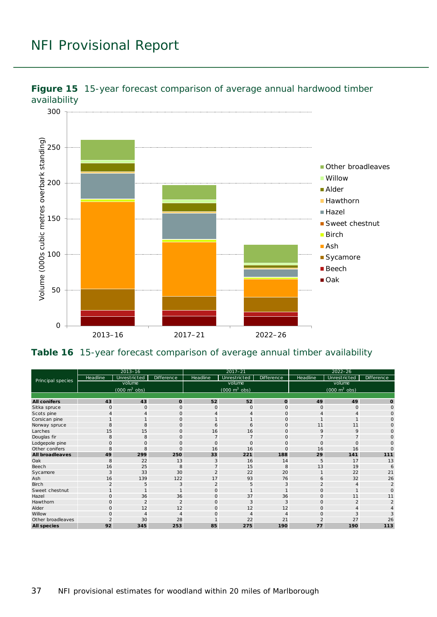

<span id="page-36-0"></span>

#### <span id="page-36-1"></span>**Table 16** 15-year forecast comparison of average annual timber availability

| Principal species      | $2013 - 16$                         |                |                   | $2017 - 21$                         |              | $2022 - 26$                     |          |              |                   |  |
|------------------------|-------------------------------------|----------------|-------------------|-------------------------------------|--------------|---------------------------------|----------|--------------|-------------------|--|
|                        | Headline                            | Unrestricted   | <b>Difference</b> | <b>Headline</b>                     | Unrestricted | Difference                      | Headline | Unrestricted | <b>Difference</b> |  |
|                        | volume                              |                |                   | volume                              |              |                                 | volume   |              |                   |  |
|                        | $(000 \; \text{m}^3 \; \text{obs})$ |                |                   | $(000 \; \text{m}^3 \; \text{obs})$ |              | $(000 \text{ m}^3 \text{ obs})$ |          |              |                   |  |
|                        |                                     |                |                   |                                     |              |                                 |          |              |                   |  |
| <b>All conifers</b>    | 43                                  | 43             | $\mathbf{o}$      | 52                                  | 52           | $\mathbf{o}$                    | 49       | 49           | O                 |  |
| Sitka spruce           | $\overline{O}$                      | $\Omega$       | $\circ$           | $\overline{O}$                      | $\mathbf{O}$ | $\mathbf{O}$                    | $\Omega$ | $\Omega$     | $\Omega$          |  |
| Scots pine             | 4                                   | 4              | $\Omega$          | 4                                   | 4            | $\mathbf{O}$                    |          |              | $\Omega$          |  |
| Corsican pine          |                                     |                | $\circ$           |                                     |              | 0                               |          |              |                   |  |
| Norway spruce          | 8                                   | 8              | $\mathbf 0$       | 6                                   | 6            | $\mathbf 0$                     | 11       | 11           |                   |  |
| Larches                | 15                                  | 15             | $\Omega$          | 16                                  | 16           | $\circ$                         | 9        | 9            |                   |  |
| Douglas fir            | 8                                   | 8              | $\mathbf{O}$      | $\overline{7}$                      |              | $\mathbf 0$                     |          |              |                   |  |
| Lodgepole pine         | $\mathbf{O}$                        | $\Omega$       | $\mathbf{O}$      | $\mathbf 0$                         | $\mathbf{O}$ | $\mathsf O$                     | $\Omega$ | $\Omega$     |                   |  |
| Other conifers         | 8                                   | 8              | $\mathbf{O}$      | 16                                  | 16           | $\mathbf{O}$                    | 16       | 16           |                   |  |
| <b>All broadleaves</b> | 49                                  | 299            | 250               | 33                                  | 221          | 188                             | 29       | 141          | 111               |  |
| Oak                    | 8                                   | 22             | 13                | 3                                   | 16           | 14                              | 5        | 17           | 13                |  |
| Beech                  | 16                                  | 25             | 8                 | $\overline{7}$                      | 15           | 8                               | 13       | 19           | 6                 |  |
| Sycamore               | 3                                   | 33             | 30                | $\overline{2}$                      | 22           | 20                              |          | 22           | 21                |  |
| Ash                    | 16                                  | 139            | 122               | 17                                  | 93           | 76                              | 6        | 32           | 26                |  |
| Birch                  | $\overline{2}$                      | 5              | 3                 | $\overline{2}$                      | 5            | 3                               |          |              | $\mathcal{P}$     |  |
| Sweet chestnut         |                                     |                |                   | $\mathbf{O}$                        |              |                                 | $\Omega$ |              |                   |  |
| Hazel                  | $\mathbf 0$                         | 36             | 36                | $\mathbf 0$                         | 37           | 36                              | $\circ$  | 11           | 11                |  |
| Hawthorn               | $\mathbf{O}$                        | $\overline{2}$ | $\overline{2}$    | $\mathbf{O}$                        | 3            | 3                               | $\circ$  | 2            | $\mathcal{P}$     |  |
| Alder                  | $\circ$                             | 12             | 12                | $\mathbf 0$                         | 12           | 12                              | $\Omega$ |              |                   |  |
| Willow                 |                                     |                |                   | Ω                                   |              | $\overline{4}$                  | O        | 3            |                   |  |
| Other broadleaves      |                                     | 30             | 28                |                                     | 22           | 21                              |          | 27           | 26                |  |
| <b>All species</b>     | 92                                  | 345            | 253               | 85                                  | 275          | 190                             | 77       | 190          | 113               |  |